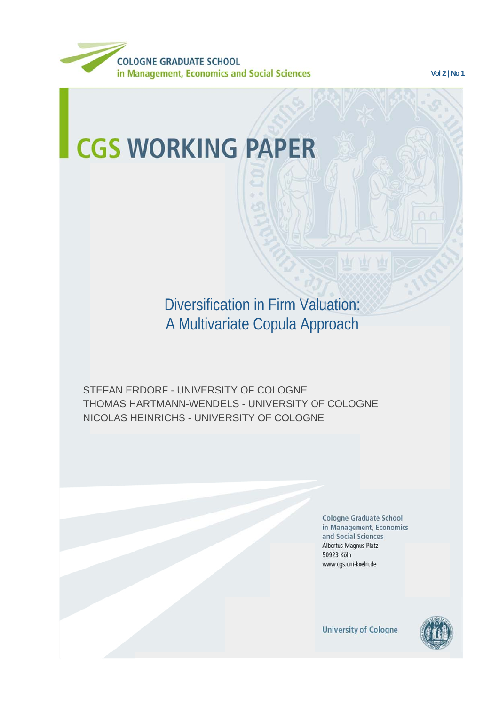

**Vol 2 | No 1**

# **CGS WORKING PAPER**

Diversification in Firm Valuation: A Multivariate Copula Approach

STEFAN ERDORF - UNIVERSITY OF COLOGNE THOMAS HARTMANN-WENDELS - UNIVERSITY OF COLOGNE NICOLAS HEINRICHS - UNIVERSITY OF COLOGNE

> **Cologne Graduate School** in Management, Economics and Social Sciences Albertus-Magnus-Platz 50923 Köln www.cgs.uni-koeln.de

**University of Cologne** 

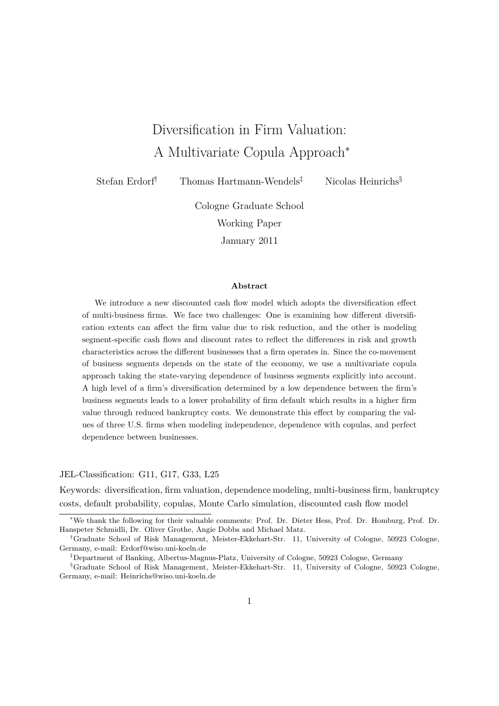## Diversification in Firm Valuation: A Multivariate Copula Approach<sup>∗</sup>

Stefan Erdorf† Thomas Hartmann-Wendels‡ Nicolas Heinrichs§

Cologne Graduate School Working Paper January 2011

#### **Abstract**

We introduce a new discounted cash flow model which adopts the diversification effect of multi-business firms. We face two challenges: One is examining how different diversification extents can affect the firm value due to risk reduction, and the other is modeling segment-specific cash flows and discount rates to reflect the differences in risk and growth characteristics across the different businesses that a firm operates in. Since the co-movement of business segments depends on the state of the economy, we use a multivariate copula approach taking the state-varying dependence of business segments explicitly into account. A high level of a firm's diversification determined by a low dependence between the firm's business segments leads to a lower probability of firm default which results in a higher firm value through reduced bankruptcy costs. We demonstrate this effect by comparing the values of three U.S. firms when modeling independence, dependence with copulas, and perfect dependence between businesses.

JEL-Classification: G11, G17, G33, L25

Keywords: diversification, firm valuation, dependence modeling, multi-business firm, bankruptcy costs, default probability, copulas, Monte Carlo simulation, discounted cash flow model

<sup>∗</sup>We thank the following for their valuable comments: Prof. Dr. Dieter Hess, Prof. Dr. Homburg, Prof. Dr. Hanspeter Schmidli, Dr. Oliver Grothe, Angie Dobbs and Michael Matz.

<sup>†</sup>Graduate School of Risk Management, Meister-Ekkehart-Str. 11, University of Cologne, 50923 Cologne, Germany, e-mail: Erdorf@wiso.uni-koeln.de

<sup>‡</sup>Department of Banking, Albertus-Magnus-Platz, University of Cologne, 50923 Cologne, Germany

<sup>§</sup>Graduate School of Risk Management, Meister-Ekkehart-Str. 11, University of Cologne, 50923 Cologne, Germany, e-mail: Heinrichs@wiso.uni-koeln.de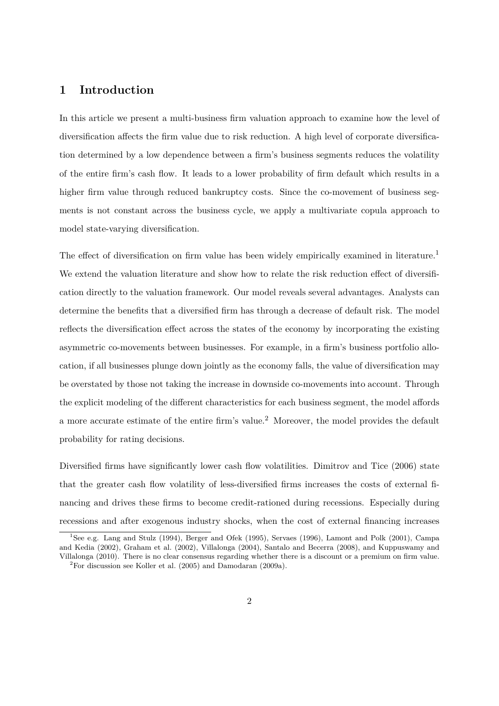## **1 Introduction**

In this article we present a multi-business firm valuation approach to examine how the level of diversification affects the firm value due to risk reduction. A high level of corporate diversification determined by a low dependence between a firm's business segments reduces the volatility of the entire firm's cash flow. It leads to a lower probability of firm default which results in a higher firm value through reduced bankruptcy costs. Since the co-movement of business segments is not constant across the business cycle, we apply a multivariate copula approach to model state-varying diversification.

The effect of diversification on firm value has been widely empirically examined in literature.<sup>1</sup> We extend the valuation literature and show how to relate the risk reduction effect of diversification directly to the valuation framework. Our model reveals several advantages. Analysts can determine the benefits that a diversified firm has through a decrease of default risk. The model reflects the diversification effect across the states of the economy by incorporating the existing asymmetric co-movements between businesses. For example, in a firm's business portfolio allocation, if all businesses plunge down jointly as the economy falls, the value of diversification may be overstated by those not taking the increase in downside co-movements into account. Through the explicit modeling of the different characteristics for each business segment, the model affords a more accurate estimate of the entire firm's value.<sup>2</sup> Moreover, the model provides the default probability for rating decisions.

Diversified firms have significantly lower cash flow volatilities. Dimitrov and Tice (2006) state that the greater cash flow volatility of less-diversified firms increases the costs of external financing and drives these firms to become credit-rationed during recessions. Especially during recessions and after exogenous industry shocks, when the cost of external financing increases

<sup>&</sup>lt;sup>1</sup>See e.g. Lang and Stulz (1994), Berger and Ofek (1995), Servaes (1996), Lamont and Polk (2001), Campa and Kedia (2002), Graham et al. (2002), Villalonga (2004), Santalo and Becerra (2008), and Kuppuswamy and Villalonga (2010). There is no clear consensus regarding whether there is a discount or a premium on firm value.  ${}^{2}$ For discussion see Koller et al. (2005) and Damodaran (2009a).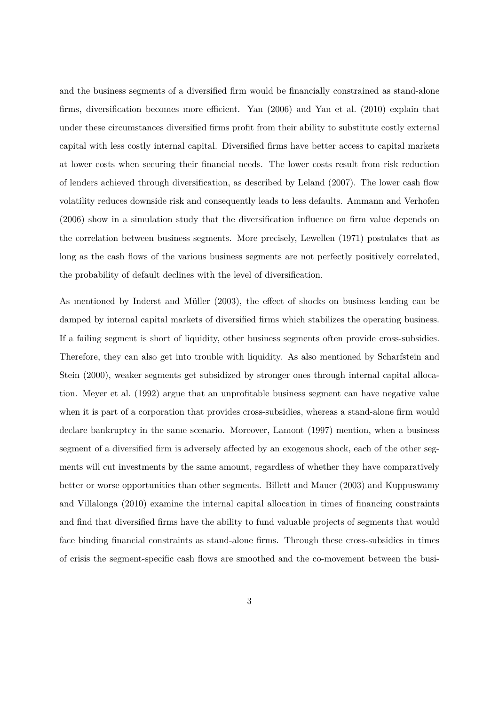and the business segments of a diversified firm would be financially constrained as stand-alone firms, diversification becomes more efficient. Yan (2006) and Yan et al. (2010) explain that under these circumstances diversified firms profit from their ability to substitute costly external capital with less costly internal capital. Diversified firms have better access to capital markets at lower costs when securing their financial needs. The lower costs result from risk reduction of lenders achieved through diversification, as described by Leland (2007). The lower cash flow volatility reduces downside risk and consequently leads to less defaults. Ammann and Verhofen (2006) show in a simulation study that the diversification influence on firm value depends on the correlation between business segments. More precisely, Lewellen (1971) postulates that as long as the cash flows of the various business segments are not perfectly positively correlated, the probability of default declines with the level of diversification.

As mentioned by Inderst and Müller (2003), the effect of shocks on business lending can be damped by internal capital markets of diversified firms which stabilizes the operating business. If a failing segment is short of liquidity, other business segments often provide cross-subsidies. Therefore, they can also get into trouble with liquidity. As also mentioned by Scharfstein and Stein (2000), weaker segments get subsidized by stronger ones through internal capital allocation. Meyer et al. (1992) argue that an unprofitable business segment can have negative value when it is part of a corporation that provides cross-subsidies, whereas a stand-alone firm would declare bankruptcy in the same scenario. Moreover, Lamont (1997) mention, when a business segment of a diversified firm is adversely affected by an exogenous shock, each of the other segments will cut investments by the same amount, regardless of whether they have comparatively better or worse opportunities than other segments. Billett and Mauer (2003) and Kuppuswamy and Villalonga (2010) examine the internal capital allocation in times of financing constraints and find that diversified firms have the ability to fund valuable projects of segments that would face binding financial constraints as stand-alone firms. Through these cross-subsidies in times of crisis the segment-specific cash flows are smoothed and the co-movement between the busi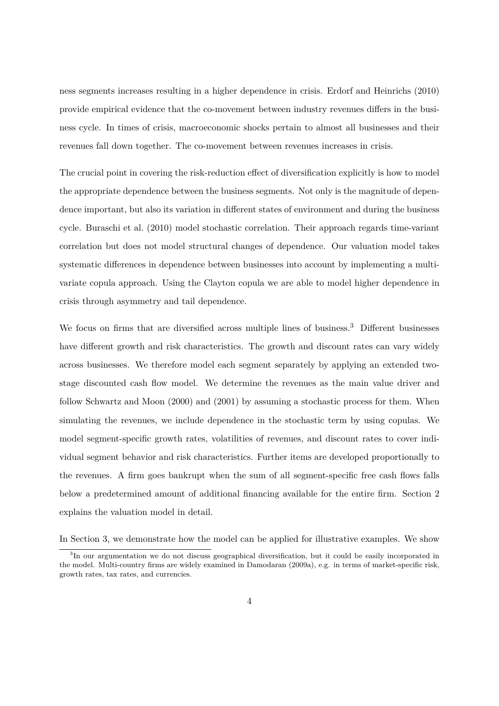ness segments increases resulting in a higher dependence in crisis. Erdorf and Heinrichs (2010) provide empirical evidence that the co-movement between industry revenues differs in the business cycle. In times of crisis, macroeconomic shocks pertain to almost all businesses and their revenues fall down together. The co-movement between revenues increases in crisis.

The crucial point in covering the risk-reduction effect of diversification explicitly is how to model the appropriate dependence between the business segments. Not only is the magnitude of dependence important, but also its variation in different states of environment and during the business cycle. Buraschi et al. (2010) model stochastic correlation. Their approach regards time-variant correlation but does not model structural changes of dependence. Our valuation model takes systematic differences in dependence between businesses into account by implementing a multivariate copula approach. Using the Clayton copula we are able to model higher dependence in crisis through asymmetry and tail dependence.

We focus on firms that are diversified across multiple lines of business.<sup>3</sup> Different businesses have different growth and risk characteristics. The growth and discount rates can vary widely across businesses. We therefore model each segment separately by applying an extended twostage discounted cash flow model. We determine the revenues as the main value driver and follow Schwartz and Moon (2000) and (2001) by assuming a stochastic process for them. When simulating the revenues, we include dependence in the stochastic term by using copulas. We model segment-specific growth rates, volatilities of revenues, and discount rates to cover individual segment behavior and risk characteristics. Further items are developed proportionally to the revenues. A firm goes bankrupt when the sum of all segment-specific free cash flows falls below a predetermined amount of additional financing available for the entire firm. Section 2 explains the valuation model in detail.

In Section 3, we demonstrate how the model can be applied for illustrative examples. We show

<sup>&</sup>lt;sup>3</sup>In our argumentation we do not discuss geographical diversification, but it could be easily incorporated in the model. Multi-country firms are widely examined in Damodaran (2009a), e.g. in terms of market-specific risk, growth rates, tax rates, and currencies.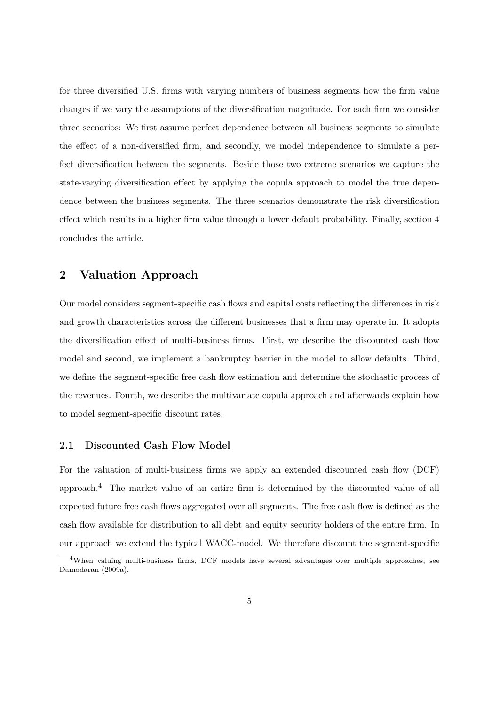for three diversified U.S. firms with varying numbers of business segments how the firm value changes if we vary the assumptions of the diversification magnitude. For each firm we consider three scenarios: We first assume perfect dependence between all business segments to simulate the effect of a non-diversified firm, and secondly, we model independence to simulate a perfect diversification between the segments. Beside those two extreme scenarios we capture the state-varying diversification effect by applying the copula approach to model the true dependence between the business segments. The three scenarios demonstrate the risk diversification effect which results in a higher firm value through a lower default probability. Finally, section 4 concludes the article.

## **2 Valuation Approach**

Our model considers segment-specific cash flows and capital costs reflecting the differences in risk and growth characteristics across the different businesses that a firm may operate in. It adopts the diversification effect of multi-business firms. First, we describe the discounted cash flow model and second, we implement a bankruptcy barrier in the model to allow defaults. Third, we define the segment-specific free cash flow estimation and determine the stochastic process of the revenues. Fourth, we describe the multivariate copula approach and afterwards explain how to model segment-specific discount rates.

#### **2.1 Discounted Cash Flow Model**

For the valuation of multi-business firms we apply an extended discounted cash flow (DCF) approach.<sup>4</sup> The market value of an entire firm is determined by the discounted value of all expected future free cash flows aggregated over all segments. The free cash flow is defined as the cash flow available for distribution to all debt and equity security holders of the entire firm. In our approach we extend the typical WACC-model. We therefore discount the segment-specific

<sup>&</sup>lt;sup>4</sup>When valuing multi-business firms, DCF models have several advantages over multiple approaches, see Damodaran (2009a).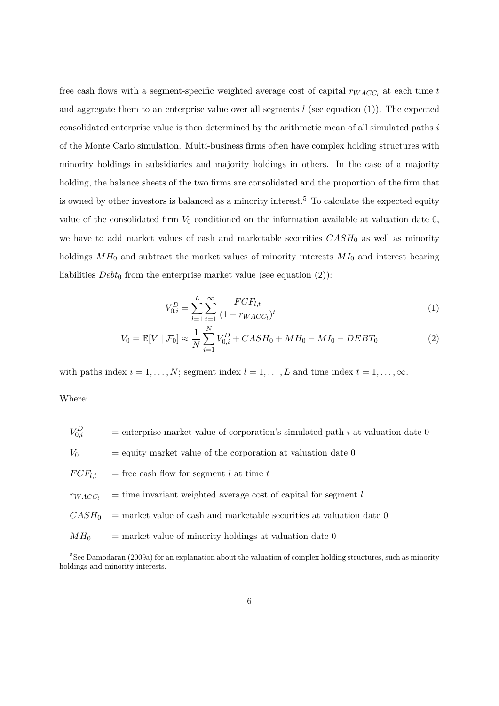free cash flows with a segment-specific weighted average cost of capital *rW ACC<sup>l</sup>* at each time *t* and aggregate them to an enterprise value over all segments *l* (see equation (1)). The expected consolidated enterprise value is then determined by the arithmetic mean of all simulated paths *i* of the Monte Carlo simulation. Multi-business firms often have complex holding structures with minority holdings in subsidiaries and majority holdings in others. In the case of a majority holding, the balance sheets of the two firms are consolidated and the proportion of the firm that is owned by other investors is balanced as a minority interest.<sup>5</sup> To calculate the expected equity value of the consolidated firm  $V_0$  conditioned on the information available at valuation date  $0$ , we have to add market values of cash and marketable securities  $CASH_0$  as well as minority holdings *MH*<sup>0</sup> and subtract the market values of minority interests *MI*<sup>0</sup> and interest bearing liabilities  $Debt_0$  from the enterprise market value (see equation  $(2)$ ):

$$
V_{0,i}^D = \sum_{l=1}^L \sum_{t=1}^{\infty} \frac{FCF_{l,t}}{(1 + r_{WACC_l})^t}
$$
 (1)

$$
V_0 = \mathbb{E}[V | \mathcal{F}_0] \approx \frac{1}{N} \sum_{i=1}^{N} V_{0,i}^D + CASH_0 + MH_0 - MI_0 - DEBT_0 \tag{2}
$$

with paths index  $i = 1, \ldots, N$ ; segment index  $l = 1, \ldots, L$  and time index  $t = 1, \ldots, \infty$ .

Where:

| $V_{0,i}^D$        | = enterprise market value of corporation's simulated path i at valuation date 0 |
|--------------------|---------------------------------------------------------------------------------|
| $V_0$              | $=$ equity market value of the corporation at valuation date 0                  |
| $FCF_{l,t}$        | = free cash flow for segment $l$ at time $t$                                    |
| $\mathit{TWACC}_l$ | $=$ time invariant weighted average cost of capital for segment l               |
| $CASH_0$           | $=$ market value of cash and marketable securities at valuation date 0          |
| $MH_0$             | $=$ market value of minority holdings at valuation date 0                       |

<sup>&</sup>lt;sup>5</sup>See Damodaran (2009a) for an explanation about the valuation of complex holding structures, such as minority holdings and minority interests.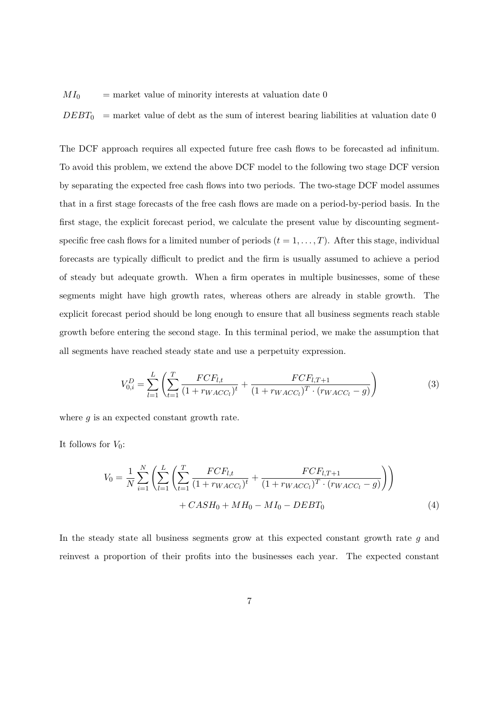$MI_0$  = market value of minority interests at valuation date 0

 $DEBT_0$  = market value of debt as the sum of interest bearing liabilities at valuation date 0

The DCF approach requires all expected future free cash flows to be forecasted ad infinitum. To avoid this problem, we extend the above DCF model to the following two stage DCF version by separating the expected free cash flows into two periods. The two-stage DCF model assumes that in a first stage forecasts of the free cash flows are made on a period-by-period basis. In the first stage, the explicit forecast period, we calculate the present value by discounting segmentspecific free cash flows for a limited number of periods  $(t = 1, \ldots, T)$ . After this stage, individual forecasts are typically difficult to predict and the firm is usually assumed to achieve a period of steady but adequate growth. When a firm operates in multiple businesses, some of these segments might have high growth rates, whereas others are already in stable growth. The explicit forecast period should be long enough to ensure that all business segments reach stable growth before entering the second stage. In this terminal period, we make the assumption that all segments have reached steady state and use a perpetuity expression.

$$
V_{0,i}^D = \sum_{l=1}^L \left( \sum_{t=1}^T \frac{FCF_{l,t}}{(1 + r_{WACC_l})^t} + \frac{FCF_{l,T+1}}{(1 + r_{WACC_l})^T \cdot (rwACC_l - g)} \right)
$$
(3)

where *g* is an expected constant growth rate.

It follows for  $V_0$ :

$$
V_0 = \frac{1}{N} \sum_{i=1}^{N} \left( \sum_{l=1}^{L} \left( \sum_{t=1}^{T} \frac{FCF_{l,t}}{(1 + r_{WACC_l})^t} + \frac{FCF_{l,T+1}}{(1 + r_{WACC_l})^T \cdot (r_{WACC_l} - g)} \right) \right) + CASH_0 + MH_0 - MI_0 - DEBT_0
$$
\n(4)

In the steady state all business segments grow at this expected constant growth rate *g* and reinvest a proportion of their profits into the businesses each year. The expected constant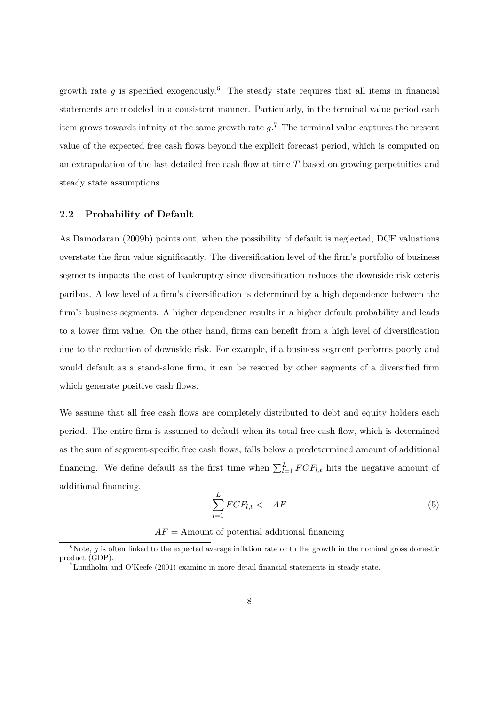growth rate *q* is specified exogenously.<sup>6</sup> The steady state requires that all items in financial statements are modeled in a consistent manner. Particularly, in the terminal value period each item grows towards infinity at the same growth rate *g*. <sup>7</sup> The terminal value captures the present value of the expected free cash flows beyond the explicit forecast period, which is computed on an extrapolation of the last detailed free cash flow at time *T* based on growing perpetuities and steady state assumptions.

#### **2.2 Probability of Default**

As Damodaran (2009b) points out, when the possibility of default is neglected, DCF valuations overstate the firm value significantly. The diversification level of the firm's portfolio of business segments impacts the cost of bankruptcy since diversification reduces the downside risk ceteris paribus. A low level of a firm's diversification is determined by a high dependence between the firm's business segments. A higher dependence results in a higher default probability and leads to a lower firm value. On the other hand, firms can benefit from a high level of diversification due to the reduction of downside risk. For example, if a business segment performs poorly and would default as a stand-alone firm, it can be rescued by other segments of a diversified firm which generate positive cash flows.

We assume that all free cash flows are completely distributed to debt and equity holders each period. The entire firm is assumed to default when its total free cash flow, which is determined as the sum of segment-specific free cash flows, falls below a predetermined amount of additional financing. We define default as the first time when  $\sum_{l=1}^{L} FCF_{l,t}$  hits the negative amount of additional financing.

$$
\sum_{l=1}^{L} FCF_{l,t} < -AF \tag{5}
$$

 $AF =$  Amount of potential additional financing

 $\overline{6}$ Note, *g* is often linked to the expected average inflation rate or to the growth in the nominal gross domestic product (GDP).

<sup>7</sup>Lundholm and O'Keefe (2001) examine in more detail financial statements in steady state.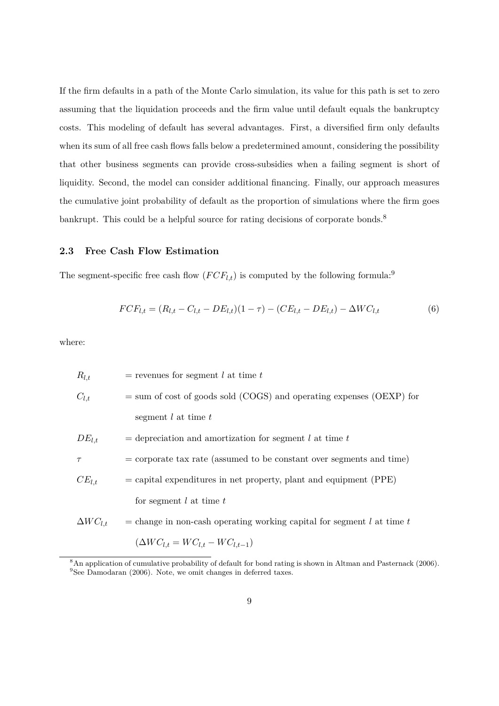If the firm defaults in a path of the Monte Carlo simulation, its value for this path is set to zero assuming that the liquidation proceeds and the firm value until default equals the bankruptcy costs. This modeling of default has several advantages. First, a diversified firm only defaults when its sum of all free cash flows falls below a predetermined amount, considering the possibility that other business segments can provide cross-subsidies when a failing segment is short of liquidity. Second, the model can consider additional financing. Finally, our approach measures the cumulative joint probability of default as the proportion of simulations where the firm goes bankrupt. This could be a helpful source for rating decisions of corporate bonds.<sup>8</sup>

#### **2.3 Free Cash Flow Estimation**

The segment-specific free cash flow  $(FCF_{l,t})$  is computed by the following formula:<sup>9</sup>

$$
FCF_{l,t} = (R_{l,t} - C_{l,t} - DE_{l,t})(1 - \tau) - (CE_{l,t} - DE_{l,t}) - \Delta WC_{l,t}
$$
\n(6)

where:

| $R_{l,t}$         | $=$ revenues for segment l at time t                                   |
|-------------------|------------------------------------------------------------------------|
| $C_{l,t}$         | $=$ sum of cost of goods sold (COGS) and operating expenses (OEXP) for |
|                   | segment $l$ at time $t$                                                |
| $DE_{l,t}$        | $=$ depreciation and amortization for segment l at time t              |
| $\tau$            | $=$ corporate tax rate (assumed to be constant over segments and time) |
| $CE_{l,t}$        | $=$ capital expenditures in net property, plant and equipment (PPE)    |
|                   | for segment $l$ at time $t$                                            |
| $\Delta WC_{l,t}$ | = change in non-cash operating working capital for segment l at time t |
|                   | $(\Delta WC_{l,t}=WC_{l,t}-WC_{l,t-1})$                                |

<sup>&</sup>lt;sup>8</sup>An application of cumulative probability of default for bond rating is shown in Altman and Pasternack (2006). <sup>9</sup>See Damodaran (2006). Note, we omit changes in deferred taxes.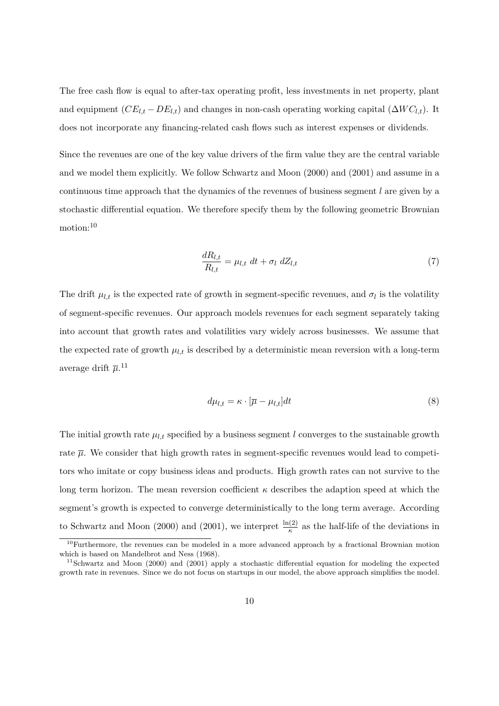The free cash flow is equal to after-tax operating profit, less investments in net property, plant and equipment  $(CE_{l,t} - DE_{l,t})$  and changes in non-cash operating working capital  $(\Delta WC_{l,t})$ . It does not incorporate any financing-related cash flows such as interest expenses or dividends.

Since the revenues are one of the key value drivers of the firm value they are the central variable and we model them explicitly. We follow Schwartz and Moon (2000) and (2001) and assume in a continuous time approach that the dynamics of the revenues of business segment *l* are given by a stochastic differential equation. We therefore specify them by the following geometric Brownian motion:<sup>10</sup>

$$
\frac{dR_{l,t}}{R_{l,t}} = \mu_{l,t} \ dt + \sigma_l \ dZ_{l,t} \tag{7}
$$

The drift  $\mu_{l,t}$  is the expected rate of growth in segment-specific revenues, and  $\sigma_l$  is the volatility of segment-specific revenues. Our approach models revenues for each segment separately taking into account that growth rates and volatilities vary widely across businesses. We assume that the expected rate of growth  $\mu_{l,t}$  is described by a deterministic mean reversion with a long-term average drift  $\overline{\mu}$ .<sup>11</sup>

$$
d\mu_{l,t} = \kappa \cdot [\overline{\mu} - \mu_{l,t}]dt \tag{8}
$$

The initial growth rate  $\mu_{l,t}$  specified by a business segment *l* converges to the sustainable growth rate  $\bar{\mu}$ . We consider that high growth rates in segment-specific revenues would lead to competitors who imitate or copy business ideas and products. High growth rates can not survive to the long term horizon. The mean reversion coefficient  $\kappa$  describes the adaption speed at which the segment's growth is expected to converge deterministically to the long term average. According to Schwartz and Moon (2000) and (2001), we interpret  $\frac{\ln(2)}{\kappa}$  as the half-life of the deviations in

<sup>&</sup>lt;sup>10</sup>Furthermore, the revenues can be modeled in a more advanced approach by a fractional Brownian motion which is based on Mandelbrot and Ness (1968).

<sup>11</sup>Schwartz and Moon (2000) and (2001) apply a stochastic differential equation for modeling the expected growth rate in revenues. Since we do not focus on startups in our model, the above approach simplifies the model.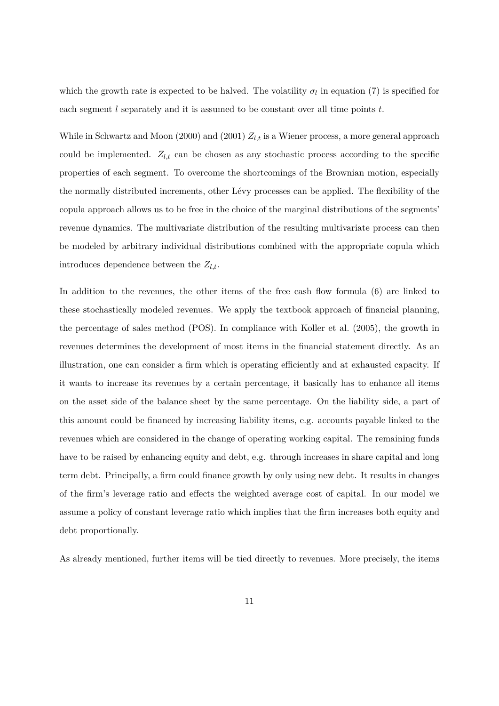which the growth rate is expected to be halved. The volatility  $\sigma_l$  in equation (7) is specified for each segment *l* separately and it is assumed to be constant over all time points *t*.

While in Schwartz and Moon (2000) and (2001)  $Z_{l,t}$  is a Wiener process, a more general approach could be implemented.  $Z_{l,t}$  can be chosen as any stochastic process according to the specific properties of each segment. To overcome the shortcomings of the Brownian motion, especially the normally distributed increments, other Lévy processes can be applied. The flexibility of the copula approach allows us to be free in the choice of the marginal distributions of the segments' revenue dynamics. The multivariate distribution of the resulting multivariate process can then be modeled by arbitrary individual distributions combined with the appropriate copula which introduces dependence between the  $Z_{l,t}$ .

In addition to the revenues, the other items of the free cash flow formula (6) are linked to these stochastically modeled revenues. We apply the textbook approach of financial planning, the percentage of sales method (POS). In compliance with Koller et al. (2005), the growth in revenues determines the development of most items in the financial statement directly. As an illustration, one can consider a firm which is operating efficiently and at exhausted capacity. If it wants to increase its revenues by a certain percentage, it basically has to enhance all items on the asset side of the balance sheet by the same percentage. On the liability side, a part of this amount could be financed by increasing liability items, e.g. accounts payable linked to the revenues which are considered in the change of operating working capital. The remaining funds have to be raised by enhancing equity and debt, e.g. through increases in share capital and long term debt. Principally, a firm could finance growth by only using new debt. It results in changes of the firm's leverage ratio and effects the weighted average cost of capital. In our model we assume a policy of constant leverage ratio which implies that the firm increases both equity and debt proportionally.

As already mentioned, further items will be tied directly to revenues. More precisely, the items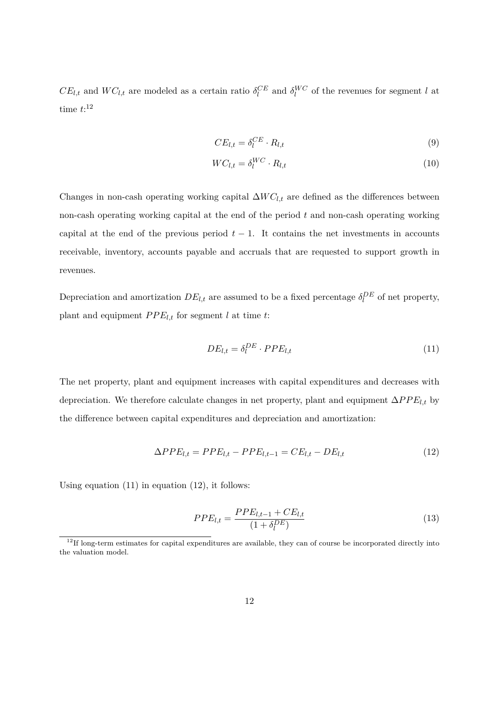$CE_{l,t}$  and  $WC_{l,t}$  are modeled as a certain ratio  $\delta_l^{CE}$  and  $\delta_l^{WC}$  of the revenues for segment *l* at time *t*: 12

$$
CE_{l,t} = \delta_l^{CE} \cdot R_{l,t} \tag{9}
$$

$$
WC_{l,t} = \delta_l^{WC} \cdot R_{l,t} \tag{10}
$$

Changes in non-cash operating working capital  $\Delta W C_{l,t}$  are defined as the differences between non-cash operating working capital at the end of the period *t* and non-cash operating working capital at the end of the previous period  $t - 1$ . It contains the net investments in accounts receivable, inventory, accounts payable and accruals that are requested to support growth in revenues.

Depreciation and amortization  $DE_{l,t}$  are assumed to be a fixed percentage  $\delta_l^{DE}$  of net property, plant and equipment  $PPE_{l,t}$  for segment  $l$  at time  $t$ :

$$
DE_{l,t} = \delta_l^{DE} \cdot PPE_{l,t} \tag{11}
$$

The net property, plant and equipment increases with capital expenditures and decreases with depreciation. We therefore calculate changes in net property, plant and equipment  $\Delta PPE_{l,t}$  by the difference between capital expenditures and depreciation and amortization:

$$
\Delta PPE_{l,t} = PPE_{l,t} - PPE_{l,t-1} = CE_{l,t} - DE_{l,t}
$$
\n(12)

Using equation  $(11)$  in equation  $(12)$ , it follows:

$$
PPE_{l,t} = \frac{PPE_{l,t-1} + CE_{l,t}}{(1 + \delta_l^{DE})}
$$
\n(13)

<sup>&</sup>lt;sup>12</sup>If long-term estimates for capital expenditures are available, they can of course be incorporated directly into the valuation model.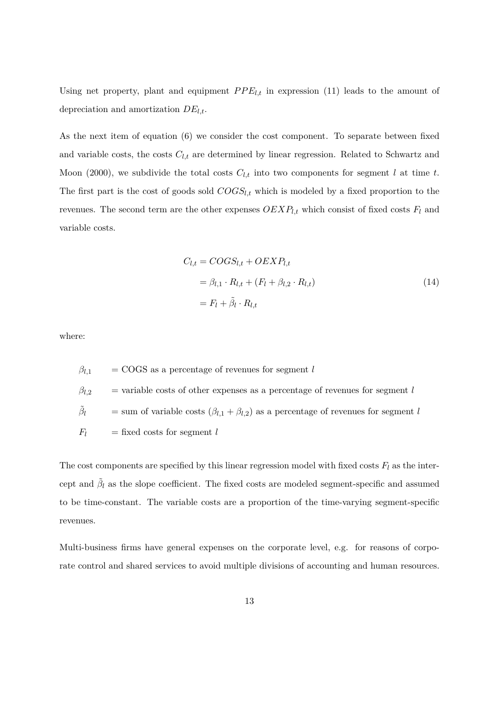Using net property, plant and equipment  $PPE_{l,t}$  in expression (11) leads to the amount of depreciation and amortization *DEl,t*.

As the next item of equation (6) we consider the cost component. To separate between fixed and variable costs, the costs  $C_{l,t}$  are determined by linear regression. Related to Schwartz and Moon (2000), we subdivide the total costs  $C_{l,t}$  into two components for segment *l* at time *t*. The first part is the cost of goods sold *COGSl,t* which is modeled by a fixed proportion to the revenues. The second term are the other expenses  $OEXP<sub>l,t</sub>$  which consist of fixed costs  $F<sub>l</sub>$  and variable costs.

$$
C_{l,t} = COGS_{l,t} + OEXP_{l,t}
$$
  
=  $\beta_{l,1} \cdot R_{l,t} + (F_l + \beta_{l,2} \cdot R_{l,t})$   
=  $F_l + \tilde{\beta}_l \cdot R_{l,t}$  (14)

where:

 $\beta_{l,1}$  = COGS as a percentage of revenues for segment *l*  $\beta_{l,2}$  = variable costs of other expenses as a percentage of revenues for segment *l*  $\tilde{\beta}_l$  $l =$  sum of variable costs  $(\beta_{l,1} + \beta_{l,2})$  as a percentage of revenues for segment *l*  $F_l$  = fixed costs for segment *l* 

The cost components are specified by this linear regression model with fixed costs  $F_l$  as the intercept and  $\tilde{\beta}_l$  as the slope coefficient. The fixed costs are modeled segment-specific and assumed to be time-constant. The variable costs are a proportion of the time-varying segment-specific revenues.

Multi-business firms have general expenses on the corporate level, e.g. for reasons of corporate control and shared services to avoid multiple divisions of accounting and human resources.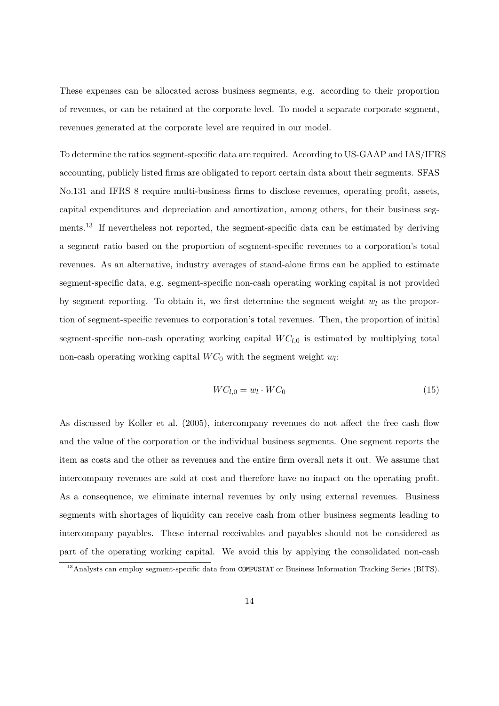These expenses can be allocated across business segments, e.g. according to their proportion of revenues, or can be retained at the corporate level. To model a separate corporate segment, revenues generated at the corporate level are required in our model.

To determine the ratios segment-specific data are required. According to US-GAAP and IAS/IFRS accounting, publicly listed firms are obligated to report certain data about their segments. SFAS No.131 and IFRS 8 require multi-business firms to disclose revenues, operating profit, assets, capital expenditures and depreciation and amortization, among others, for their business segments.<sup>13</sup> If nevertheless not reported, the segment-specific data can be estimated by deriving a segment ratio based on the proportion of segment-specific revenues to a corporation's total revenues. As an alternative, industry averages of stand-alone firms can be applied to estimate segment-specific data, e.g. segment-specific non-cash operating working capital is not provided by segment reporting. To obtain it, we first determine the segment weight *w<sup>l</sup>* as the proportion of segment-specific revenues to corporation's total revenues. Then, the proportion of initial segment-specific non-cash operating working capital  $WC_{l,0}$  is estimated by multiplying total non-cash operating working capital  $WC_0$  with the segment weight  $w_l$ :

$$
WC_{l,0} = w_l \cdot WC_0 \tag{15}
$$

As discussed by Koller et al. (2005), intercompany revenues do not affect the free cash flow and the value of the corporation or the individual business segments. One segment reports the item as costs and the other as revenues and the entire firm overall nets it out. We assume that intercompany revenues are sold at cost and therefore have no impact on the operating profit. As a consequence, we eliminate internal revenues by only using external revenues. Business segments with shortages of liquidity can receive cash from other business segments leading to intercompany payables. These internal receivables and payables should not be considered as part of the operating working capital. We avoid this by applying the consolidated non-cash

<sup>&</sup>lt;sup>13</sup>Analysts can employ segment-specific data from COMPUSTAT or Business Information Tracking Series (BITS).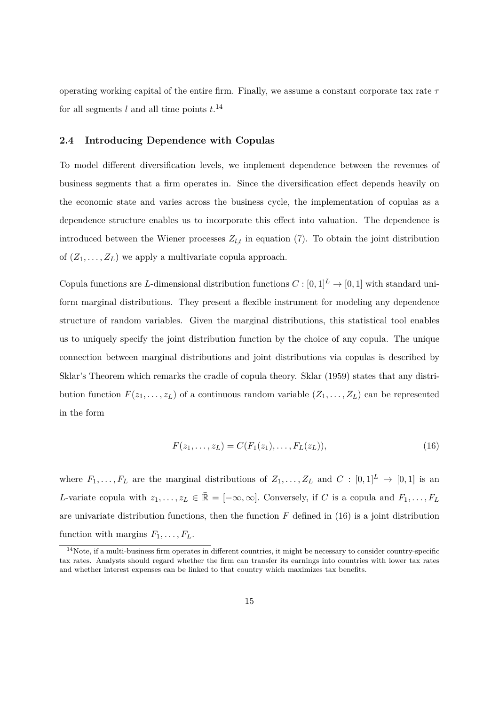operating working capital of the entire firm. Finally, we assume a constant corporate tax rate *τ* for all segments *l* and all time points *t*. 14

#### **2.4 Introducing Dependence with Copulas**

To model different diversification levels, we implement dependence between the revenues of business segments that a firm operates in. Since the diversification effect depends heavily on the economic state and varies across the business cycle, the implementation of copulas as a dependence structure enables us to incorporate this effect into valuation. The dependence is introduced between the Wiener processes  $Z_{l,t}$  in equation (7). To obtain the joint distribution of  $(Z_1, \ldots, Z_L)$  we apply a multivariate copula approach.

Copula functions are *L*-dimensional distribution functions  $C : [0,1]^L \to [0,1]$  with standard uniform marginal distributions. They present a flexible instrument for modeling any dependence structure of random variables. Given the marginal distributions, this statistical tool enables us to uniquely specify the joint distribution function by the choice of any copula. The unique connection between marginal distributions and joint distributions via copulas is described by Sklar's Theorem which remarks the cradle of copula theory. Sklar (1959) states that any distribution function  $F(z_1, \ldots, z_L)$  of a continuous random variable  $(Z_1, \ldots, Z_L)$  can be represented in the form

$$
F(z_1, \ldots, z_L) = C(F_1(z_1), \ldots, F_L(z_L)),
$$
\n(16)

where  $F_1, \ldots, F_L$  are the marginal distributions of  $Z_1, \ldots, Z_L$  and  $C : [0,1]^L \to [0,1]$  is an *L*-variate copula with  $z_1, \ldots, z_L \in \mathbb{R} = [-\infty, \infty]$ . Conversely, if *C* is a copula and  $F_1, \ldots, F_L$ are univariate distribution functions, then the function  $F$  defined in  $(16)$  is a joint distribution function with margins  $F_1, \ldots, F_L$ .

 $14$ Note, if a multi-business firm operates in different countries, it might be necessary to consider country-specific tax rates. Analysts should regard whether the firm can transfer its earnings into countries with lower tax rates and whether interest expenses can be linked to that country which maximizes tax benefits.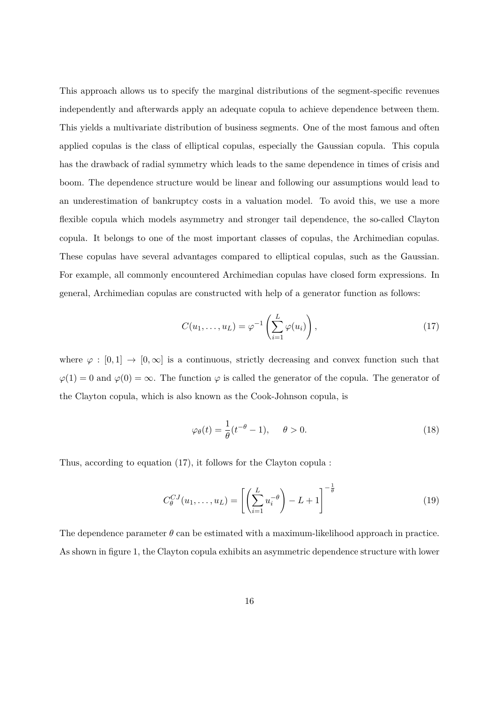This approach allows us to specify the marginal distributions of the segment-specific revenues independently and afterwards apply an adequate copula to achieve dependence between them. This yields a multivariate distribution of business segments. One of the most famous and often applied copulas is the class of elliptical copulas, especially the Gaussian copula. This copula has the drawback of radial symmetry which leads to the same dependence in times of crisis and boom. The dependence structure would be linear and following our assumptions would lead to an underestimation of bankruptcy costs in a valuation model. To avoid this, we use a more flexible copula which models asymmetry and stronger tail dependence, the so-called Clayton copula. It belongs to one of the most important classes of copulas, the Archimedian copulas. These copulas have several advantages compared to elliptical copulas, such as the Gaussian. For example, all commonly encountered Archimedian copulas have closed form expressions. In general, Archimedian copulas are constructed with help of a generator function as follows:

$$
C(u_1,\ldots,u_L) = \varphi^{-1}\left(\sum_{i=1}^L \varphi(u_i)\right),\qquad(17)
$$

where  $\varphi : [0,1] \to [0,\infty]$  is a continuous, strictly decreasing and convex function such that  $\varphi(1) = 0$  and  $\varphi(0) = \infty$ . The function  $\varphi$  is called the generator of the copula. The generator of the Clayton copula, which is also known as the Cook-Johnson copula, is

$$
\varphi_{\theta}(t) = \frac{1}{\theta}(t^{-\theta} - 1), \quad \theta > 0.
$$
\n(18)

Thus, according to equation (17), it follows for the Clayton copula :

$$
C_{\theta}^{CJ}(u_1,\ldots,u_L) = \left[\left(\sum_{i=1}^L u_i^{-\theta}\right) - L + 1\right]^{-\frac{1}{\theta}}\tag{19}
$$

The dependence parameter  $\theta$  can be estimated with a maximum-likelihood approach in practice. As shown in figure 1, the Clayton copula exhibits an asymmetric dependence structure with lower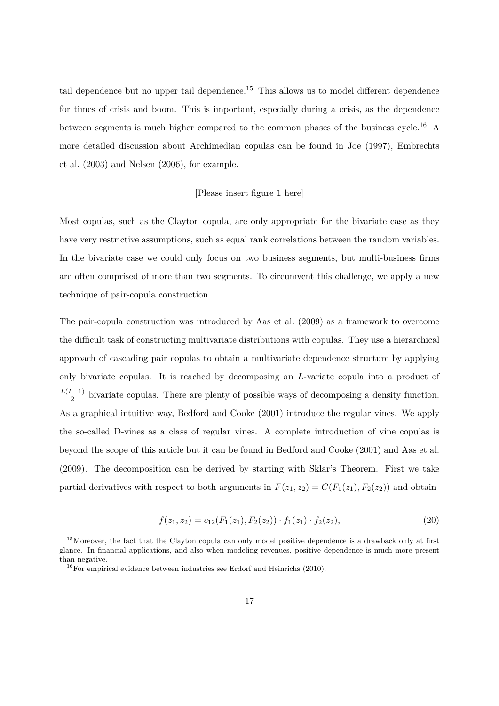tail dependence but no upper tail dependence.<sup>15</sup> This allows us to model different dependence for times of crisis and boom. This is important, especially during a crisis, as the dependence between segments is much higher compared to the common phases of the business cycle.<sup>16</sup> A more detailed discussion about Archimedian copulas can be found in Joe (1997), Embrechts et al. (2003) and Nelsen (2006), for example.

#### [Please insert figure 1 here]

Most copulas, such as the Clayton copula, are only appropriate for the bivariate case as they have very restrictive assumptions, such as equal rank correlations between the random variables. In the bivariate case we could only focus on two business segments, but multi-business firms are often comprised of more than two segments. To circumvent this challenge, we apply a new technique of pair-copula construction.

The pair-copula construction was introduced by Aas et al. (2009) as a framework to overcome the difficult task of constructing multivariate distributions with copulas. They use a hierarchical approach of cascading pair copulas to obtain a multivariate dependence structure by applying only bivariate copulas. It is reached by decomposing an *L*-variate copula into a product of *L*(*L*−1)  $\frac{2-1}{2}$  bivariate copulas. There are plenty of possible ways of decomposing a density function. As a graphical intuitive way, Bedford and Cooke (2001) introduce the regular vines. We apply the so-called D-vines as a class of regular vines. A complete introduction of vine copulas is beyond the scope of this article but it can be found in Bedford and Cooke (2001) and Aas et al. (2009). The decomposition can be derived by starting with Sklar's Theorem. First we take partial derivatives with respect to both arguments in  $F(z_1, z_2) = C(F_1(z_1), F_2(z_2))$  and obtain

$$
f(z_1, z_2) = c_{12}(F_1(z_1), F_2(z_2)) \cdot f_1(z_1) \cdot f_2(z_2), \tag{20}
$$

<sup>&</sup>lt;sup>15</sup>Moreover, the fact that the Clayton copula can only model positive dependence is a drawback only at first glance. In financial applications, and also when modeling revenues, positive dependence is much more present than negative.

 $16$ For empirical evidence between industries see Erdorf and Heinrichs (2010).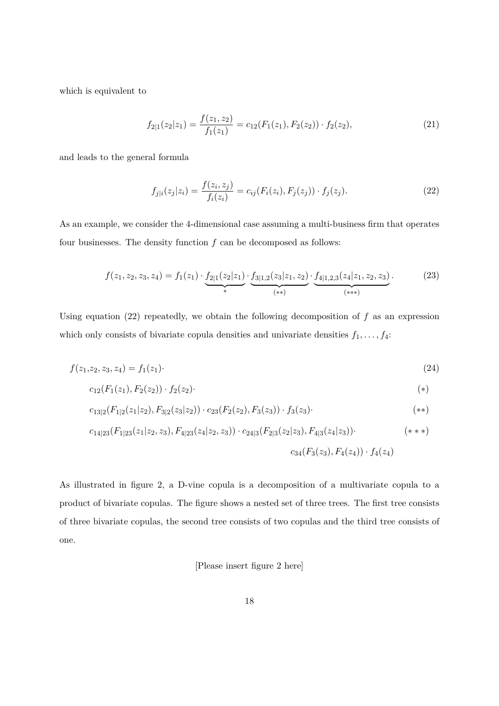which is equivalent to

$$
f_{2|1}(z_2|z_1) = \frac{f(z_1, z_2)}{f_1(z_1)} = c_{12}(F_1(z_1), F_2(z_2)) \cdot f_2(z_2), \tag{21}
$$

and leads to the general formula

$$
f_{j|i}(z_j|z_i) = \frac{f(z_i, z_j)}{f_i(z_i)} = c_{ij}(F_i(z_i), F_j(z_j)) \cdot f_j(z_j). \tag{22}
$$

As an example, we consider the 4-dimensional case assuming a multi-business firm that operates four businesses. The density function *f* can be decomposed as follows:

$$
f(z_1, z_2, z_3, z_4) = f_1(z_1) \cdot \underbrace{f_{2|1}(z_2|z_1)}_{*} \cdot \underbrace{f_{3|1,2}(z_3|z_1, z_2)}_{(**)} \cdot \underbrace{f_{4|1,2,3}(z_4|z_1, z_2, z_3)}_{(***)}.
$$
 (23)

Using equation (22) repeatedly, we obtain the following decomposition of *f* as an expression which only consists of bivariate copula densities and univariate densities  $f_1, \ldots, f_4$ :

$$
f(z_1, z_2, z_3, z_4) = f_1(z_1). \tag{24}
$$

$$
c_{12}(F_1(z_1), F_2(z_2)) \cdot f_2(z_2) \cdot \tag{*}
$$

$$
c_{13|2}(F_{1|2}(z_1|z_2), F_{3|2}(z_3|z_2)) \cdot c_{23}(F_2(z_2), F_3(z_3)) \cdot f_3(z_3) \cdot \tag{**}
$$

$$
c_{14|23}(F_{1|23}(z_1|z_2,z_3), F_{4|23}(z_4|z_2,z_3)) \cdot c_{24|3}(F_{2|3}(z_2|z_3), F_{4|3}(z_4|z_3)) \cdot \tag{**}
$$
\n
$$
c_{34}(F_3(z_3), F_4(z_4)) \cdot f_4(z_4)
$$

As illustrated in figure 2, a D-vine copula is a decomposition of a multivariate copula to a product of bivariate copulas. The figure shows a nested set of three trees. The first tree consists of three bivariate copulas, the second tree consists of two copulas and the third tree consists of one.

#### [Please insert figure 2 here]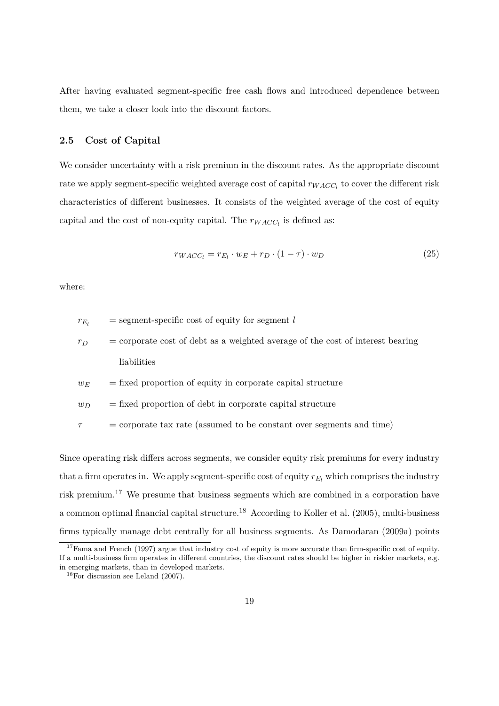After having evaluated segment-specific free cash flows and introduced dependence between them, we take a closer look into the discount factors.

#### **2.5 Cost of Capital**

We consider uncertainty with a risk premium in the discount rates. As the appropriate discount rate we apply segment-specific weighted average cost of capital  $r_{WACC_l}$  to cover the different risk characteristics of different businesses. It consists of the weighted average of the cost of equity capital and the cost of non-equity capital. The  $r_{WACC_l}$  is defined as:

$$
r_{WACC_l} = r_{E_l} \cdot w_E + r_D \cdot (1 - \tau) \cdot w_D \tag{25}
$$

where:

 $r_{E_l}$  = segment-specific cost of equity for segment *l*  $r_D$  = corporate cost of debt as a weighted average of the cost of interest bearing liabilities  $w_E$  = fixed proportion of equity in corporate capital structure  $w_D$  = fixed proportion of debt in corporate capital structure *τ* = corporate tax rate (assumed to be constant over segments and time)

Since operating risk differs across segments, we consider equity risk premiums for every industry that a firm operates in. We apply segment-specific cost of equity  $r_{E_l}$  which comprises the industry risk premium.<sup>17</sup> We presume that business segments which are combined in a corporation have a common optimal financial capital structure.<sup>18</sup> According to Koller et al. (2005), multi-business firms typically manage debt centrally for all business segments. As Damodaran (2009a) points

<sup>&</sup>lt;sup>17</sup>Fama and French (1997) argue that industry cost of equity is more accurate than firm-specific cost of equity. If a multi-business firm operates in different countries, the discount rates should be higher in riskier markets, e.g. in emerging markets, than in developed markets.

 $18$ For discussion see Leland (2007).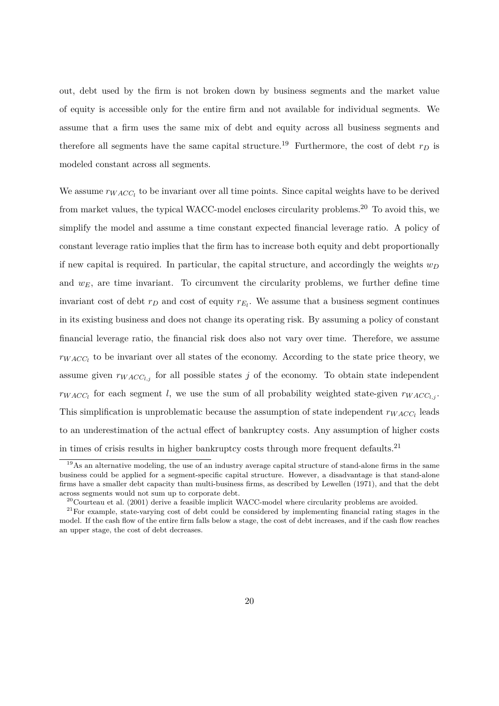out, debt used by the firm is not broken down by business segments and the market value of equity is accessible only for the entire firm and not available for individual segments. We assume that a firm uses the same mix of debt and equity across all business segments and therefore all segments have the same capital structure.<sup>19</sup> Furthermore, the cost of debt  $r_D$  is modeled constant across all segments.

We assume  $r_{WACC_l}$  to be invariant over all time points. Since capital weights have to be derived from market values, the typical WACC-model encloses circularity problems.<sup>20</sup> To avoid this, we simplify the model and assume a time constant expected financial leverage ratio. A policy of constant leverage ratio implies that the firm has to increase both equity and debt proportionally if new capital is required. In particular, the capital structure, and accordingly the weights  $w_D$ and  $w_E$ , are time invariant. To circumvent the circularity problems, we further define time invariant cost of debt  $r_D$  and cost of equity  $r_{E_l}$ . We assume that a business segment continues in its existing business and does not change its operating risk. By assuming a policy of constant financial leverage ratio, the financial risk does also not vary over time. Therefore, we assume  $r_{WACC}$  to be invariant over all states of the economy. According to the state price theory, we assume given  $r_{WACC_{l,i}}$  for all possible states *j* of the economy. To obtain state independent  $r_{WACC_l}$  for each segment *l*, we use the sum of all probability weighted state-given  $r_{WACC_{l,j}}$ . This simplification is unproblematic because the assumption of state independent  $r_{WACC_l}$  leads to an underestimation of the actual effect of bankruptcy costs. Any assumption of higher costs in times of crisis results in higher bankruptcy costs through more frequent defaults.<sup>21</sup>

<sup>&</sup>lt;sup>19</sup>As an alternative modeling, the use of an industry average capital structure of stand-alone firms in the same business could be applied for a segment-specific capital structure. However, a disadvantage is that stand-alone firms have a smaller debt capacity than multi-business firms, as described by Lewellen (1971), and that the debt across segments would not sum up to corporate debt.

 $^{20}$ Courteau et al. (2001) derive a feasible implicit WACC-model where circularity problems are avoided.

 $21$ For example, state-varying cost of debt could be considered by implementing financial rating stages in the model. If the cash flow of the entire firm falls below a stage, the cost of debt increases, and if the cash flow reaches an upper stage, the cost of debt decreases.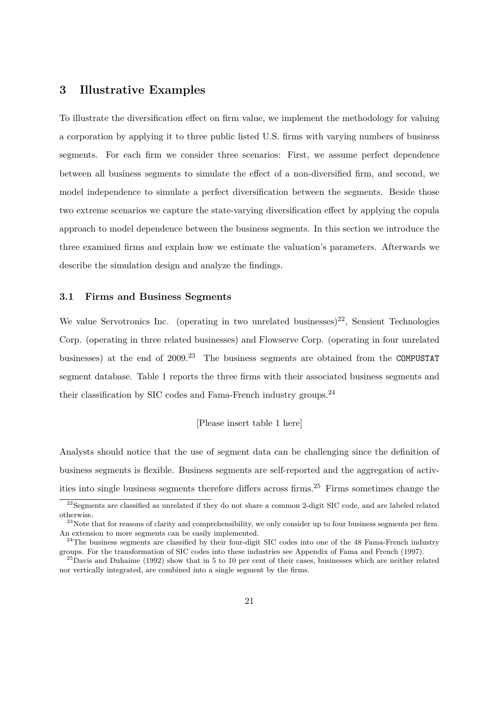## **3 Illustrative Examples**

To illustrate the diversification effect on firm value, we implement the methodology for valuing a corporation by applying it to three public listed U.S. firms with varying numbers of business segments. For each firm we consider three scenarios: First, we assume perfect dependence between all business segments to simulate the effect of a non-diversified firm, and second, we model independence to simulate a perfect diversification between the segments. Beside those two extreme scenarios we capture the state-varying diversification effect by applying the copula approach to model dependence between the business segments. In this section we introduce the three examined firms and explain how we estimate the valuation's parameters. Afterwards we describe the simulation design and analyze the findings.

#### **3.1 Firms and Business Segments**

We value Servotronics Inc. (operating in two unrelated businesses)<sup>22</sup>, Sensient Technologies Corp. (operating in three related businesses) and Flowserve Corp. (operating in four unrelated businesses) at the end of  $2009<sup>23</sup>$  The business segments are obtained from the COMPUSTAT segment database. Table 1 reports the three firms with their associated business segments and their classification by SIC codes and Fama-French industry groups.<sup>24</sup>

#### [Please insert table 1 here]

Analysts should notice that the use of segment data can be challenging since the definition of business segments is flexible. Business segments are self-reported and the aggregation of activities into single business segments therefore differs across firms.<sup>25</sup> Firms sometimes change the

<sup>&</sup>lt;sup>22</sup>Segments are classified as unrelated if they do not share a common 2-digit SIC code, and are labeled related otherwise.

 $^{23}$ Note that for reasons of clarity and comprehensibility, we only consider up to four business segments per firm. An extension to more segments can be easily implemented.

 $24$ The business segments are classified by their four-digit SIC codes into one of the 48 Fama-French industry groups. For the transformation of SIC codes into these industries see Appendix of Fama and French (1997).

 $^{25}$ Davis and Duhaime (1992) show that in 5 to 10 per cent of their cases, businesses which are neither related nor vertically integrated, are combined into a single segment by the firms.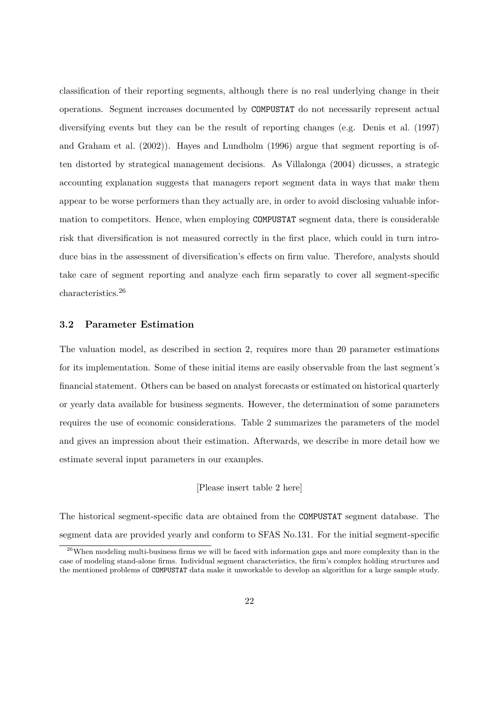classification of their reporting segments, although there is no real underlying change in their operations. Segment increases documented by COMPUSTAT do not necessarily represent actual diversifying events but they can be the result of reporting changes (e.g. Denis et al. (1997) and Graham et al. (2002)). Hayes and Lundholm (1996) argue that segment reporting is often distorted by strategical management decisions. As Villalonga (2004) dicusses, a strategic accounting explanation suggests that managers report segment data in ways that make them appear to be worse performers than they actually are, in order to avoid disclosing valuable information to competitors. Hence, when employing COMPUSTAT segment data, there is considerable risk that diversification is not measured correctly in the first place, which could in turn introduce bias in the assessment of diversification's effects on firm value. Therefore, analysts should take care of segment reporting and analyze each firm separatly to cover all segment-specific characteristics.<sup>26</sup>

#### **3.2 Parameter Estimation**

The valuation model, as described in section 2, requires more than 20 parameter estimations for its implementation. Some of these initial items are easily observable from the last segment's financial statement. Others can be based on analyst forecasts or estimated on historical quarterly or yearly data available for business segments. However, the determination of some parameters requires the use of economic considerations. Table 2 summarizes the parameters of the model and gives an impression about their estimation. Afterwards, we describe in more detail how we estimate several input parameters in our examples.

#### [Please insert table 2 here]

The historical segment-specific data are obtained from the COMPUSTAT segment database. The segment data are provided yearly and conform to SFAS No.131. For the initial segment-specific

<sup>&</sup>lt;sup>26</sup>When modeling multi-business firms we will be faced with information gaps and more complexity than in the case of modeling stand-alone firms. Individual segment characteristics, the firm's complex holding structures and the mentioned problems of COMPUSTAT data make it unworkable to develop an algorithm for a large sample study.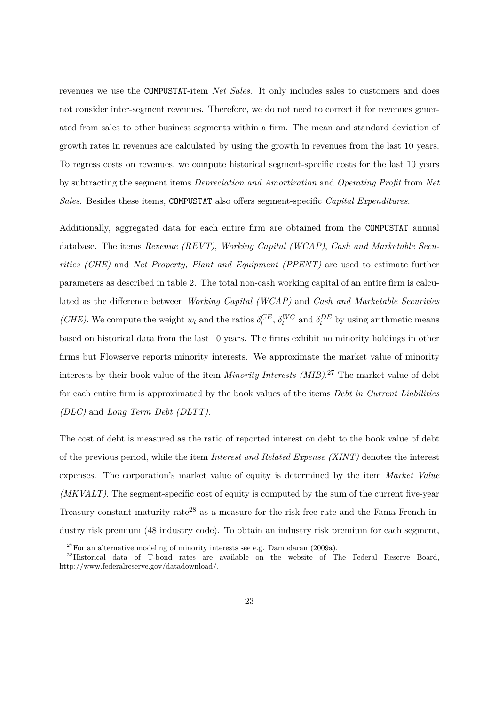revenues we use the COMPUSTAT-item *Net Sales*. It only includes sales to customers and does not consider inter-segment revenues. Therefore, we do not need to correct it for revenues generated from sales to other business segments within a firm. The mean and standard deviation of growth rates in revenues are calculated by using the growth in revenues from the last 10 years. To regress costs on revenues, we compute historical segment-specific costs for the last 10 years by subtracting the segment items *Depreciation and Amortization* and *Operating Profit* from *Net Sales*. Besides these items, COMPUSTAT also offers segment-specific *Capital Expenditures*.

Additionally, aggregated data for each entire firm are obtained from the COMPUSTAT annual database. The items *Revenue (REVT)*, *Working Capital (WCAP)*, *Cash and Marketable Securities (CHE)* and *Net Property, Plant and Equipment (PPENT)* are used to estimate further parameters as described in table 2. The total non-cash working capital of an entire firm is calculated as the difference between *Working Capital (WCAP)* and *Cash and Marketable Securities (CHE)*. We compute the weight  $w_l$  and the ratios  $\delta_l^{CE}$ ,  $\delta_l^{WC}$  and  $\delta_l^{DE}$  by using arithmetic means based on historical data from the last 10 years. The firms exhibit no minority holdings in other firms but Flowserve reports minority interests. We approximate the market value of minority interests by their book value of the item *Minority Interests (MIB)*. <sup>27</sup> The market value of debt for each entire firm is approximated by the book values of the items *Debt in Current Liabilities (DLC)* and *Long Term Debt (DLTT)*.

The cost of debt is measured as the ratio of reported interest on debt to the book value of debt of the previous period, while the item *Interest and Related Expense (XINT)* denotes the interest expenses. The corporation's market value of equity is determined by the item *Market Value (MKVALT)*. The segment-specific cost of equity is computed by the sum of the current five-year Treasury constant maturity rate<sup>28</sup> as a measure for the risk-free rate and the Fama-French industry risk premium (48 industry code). To obtain an industry risk premium for each segment,

 $27$  For an alternative modeling of minority interests see e.g. Damodaran (2009a).

<sup>&</sup>lt;sup>28</sup>Historical data of T-bond rates are available on the website of The Federal Reserve Board, http://www.federalreserve.gov/datadownload/.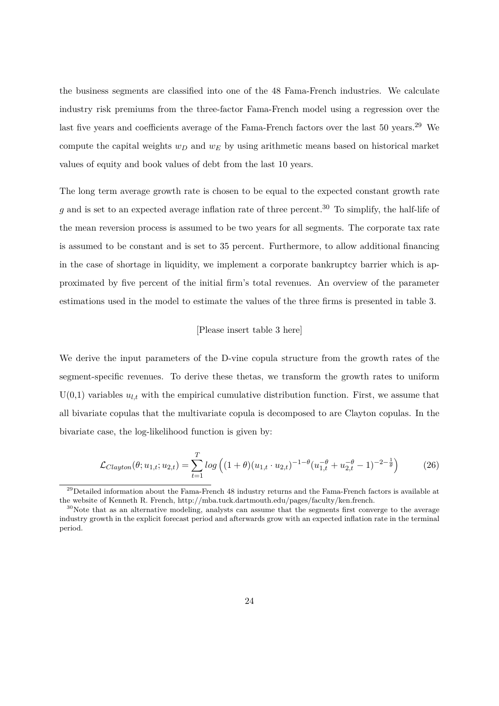the business segments are classified into one of the 48 Fama-French industries. We calculate industry risk premiums from the three-factor Fama-French model using a regression over the last five years and coefficients average of the Fama-French factors over the last 50 years.<sup>29</sup> We compute the capital weights *w<sup>D</sup>* and *w<sup>E</sup>* by using arithmetic means based on historical market values of equity and book values of debt from the last 10 years.

The long term average growth rate is chosen to be equal to the expected constant growth rate  $g$  and is set to an expected average inflation rate of three percent.<sup>30</sup> To simplify, the half-life of the mean reversion process is assumed to be two years for all segments. The corporate tax rate is assumed to be constant and is set to 35 percent. Furthermore, to allow additional financing in the case of shortage in liquidity, we implement a corporate bankruptcy barrier which is approximated by five percent of the initial firm's total revenues. An overview of the parameter estimations used in the model to estimate the values of the three firms is presented in table 3.

#### [Please insert table 3 here]

We derive the input parameters of the D-vine copula structure from the growth rates of the segment-specific revenues. To derive these thetas, we transform the growth rates to uniform  $U(0,1)$  variables  $u_{l,t}$  with the empirical cumulative distribution function. First, we assume that all bivariate copulas that the multivariate copula is decomposed to are Clayton copulas. In the bivariate case, the log-likelihood function is given by:

$$
\mathcal{L}_{Clayton}(\theta; u_{1,t}; u_{2,t}) = \sum_{t=1}^{T} \log \left( (1+\theta)(u_{1,t} \cdot u_{2,t})^{-1-\theta} (u_{1,t}^{-\theta} + u_{2,t}^{-\theta} - 1)^{-2-\frac{1}{\theta}} \right) \tag{26}
$$

<sup>&</sup>lt;sup>29</sup>Detailed information about the Fama-French 48 industry returns and the Fama-French factors is available at the website of Kenneth R. French, http://mba.tuck.dartmouth.edu/pages/faculty/ken.french.

<sup>&</sup>lt;sup>30</sup>Note that as an alternative modeling, analysts can assume that the segments first converge to the average industry growth in the explicit forecast period and afterwards grow with an expected inflation rate in the terminal period.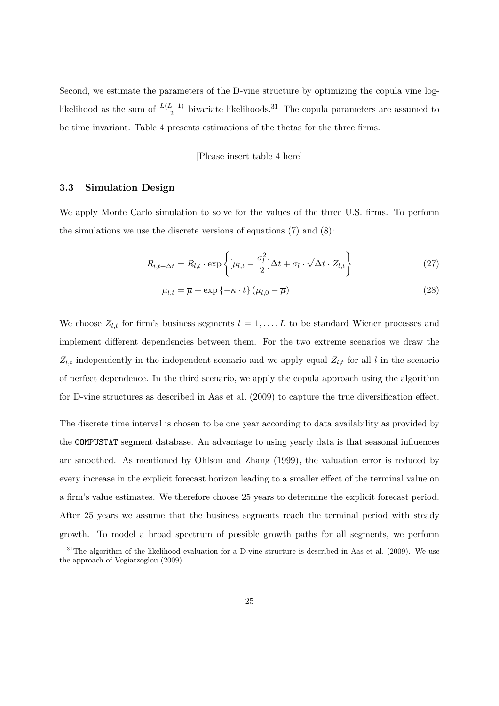Second, we estimate the parameters of the D-vine structure by optimizing the copula vine loglikelihood as the sum of  $\frac{L(L-1)}{2}$  bivariate likelihoods.<sup>31</sup> The copula parameters are assumed to be time invariant. Table 4 presents estimations of the thetas for the three firms.

#### [Please insert table 4 here]

#### **3.3 Simulation Design**

We apply Monte Carlo simulation to solve for the values of the three U.S. firms. To perform the simulations we use the discrete versions of equations  $(7)$  and  $(8)$ :

$$
R_{l,t+\Delta t} = R_{l,t} \cdot \exp\left\{ \left[ \mu_{l,t} - \frac{\sigma_l^2}{2} \right] \Delta t + \sigma_l \cdot \sqrt{\Delta t} \cdot Z_{l,t} \right\} \tag{27}
$$

$$
\mu_{l,t} = \overline{\mu} + \exp\left\{-\kappa \cdot t\right\} (\mu_{l,0} - \overline{\mu})
$$
\n(28)

We choose  $Z_{l,t}$  for firm's business segments  $l = 1, \ldots, L$  to be standard Wiener processes and implement different dependencies between them. For the two extreme scenarios we draw the  $Z_{l,t}$  independently in the independent scenario and we apply equal  $Z_{l,t}$  for all *l* in the scenario of perfect dependence. In the third scenario, we apply the copula approach using the algorithm for D-vine structures as described in Aas et al. (2009) to capture the true diversification effect.

The discrete time interval is chosen to be one year according to data availability as provided by the COMPUSTAT segment database. An advantage to using yearly data is that seasonal influences are smoothed. As mentioned by Ohlson and Zhang (1999), the valuation error is reduced by every increase in the explicit forecast horizon leading to a smaller effect of the terminal value on a firm's value estimates. We therefore choose 25 years to determine the explicit forecast period. After 25 years we assume that the business segments reach the terminal period with steady growth. To model a broad spectrum of possible growth paths for all segments, we perform

 $31$ The algorithm of the likelihood evaluation for a D-vine structure is described in Aas et al. (2009). We use the approach of Vogiatzoglou (2009).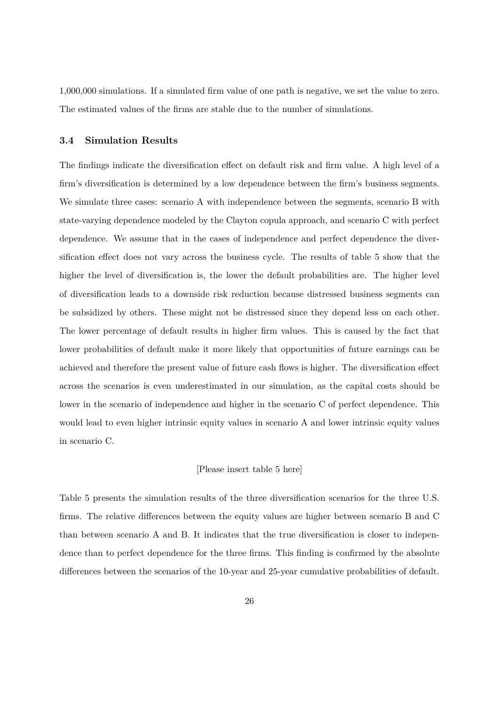1,000,000 simulations. If a simulated firm value of one path is negative, we set the value to zero. The estimated values of the firms are stable due to the number of simulations.

#### **3.4 Simulation Results**

The findings indicate the diversification effect on default risk and firm value. A high level of a firm's diversification is determined by a low dependence between the firm's business segments. We simulate three cases: scenario A with independence between the segments, scenario B with state-varying dependence modeled by the Clayton copula approach, and scenario C with perfect dependence. We assume that in the cases of independence and perfect dependence the diversification effect does not vary across the business cycle. The results of table 5 show that the higher the level of diversification is, the lower the default probabilities are. The higher level of diversification leads to a downside risk reduction because distressed business segments can be subsidized by others. These might not be distressed since they depend less on each other. The lower percentage of default results in higher firm values. This is caused by the fact that lower probabilities of default make it more likely that opportunities of future earnings can be achieved and therefore the present value of future cash flows is higher. The diversification effect across the scenarios is even underestimated in our simulation, as the capital costs should be lower in the scenario of independence and higher in the scenario C of perfect dependence. This would lead to even higher intrinsic equity values in scenario A and lower intrinsic equity values in scenario C.

#### [Please insert table 5 here]

Table 5 presents the simulation results of the three diversification scenarios for the three U.S. firms. The relative differences between the equity values are higher between scenario B and C than between scenario A and B. It indicates that the true diversification is closer to independence than to perfect dependence for the three firms. This finding is confirmed by the absolute differences between the scenarios of the 10-year and 25-year cumulative probabilities of default.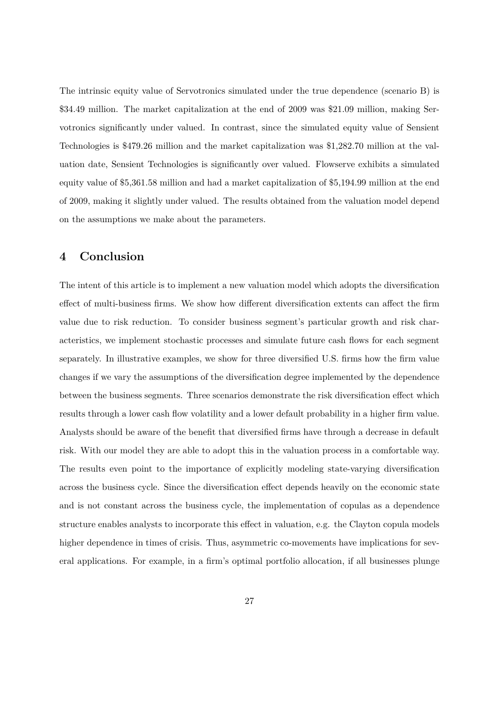The intrinsic equity value of Servotronics simulated under the true dependence (scenario B) is \$34.49 million. The market capitalization at the end of 2009 was \$21.09 million, making Servotronics significantly under valued. In contrast, since the simulated equity value of Sensient Technologies is \$479.26 million and the market capitalization was \$1,282.70 million at the valuation date, Sensient Technologies is significantly over valued. Flowserve exhibits a simulated equity value of \$5,361.58 million and had a market capitalization of \$5,194.99 million at the end of 2009, making it slightly under valued. The results obtained from the valuation model depend on the assumptions we make about the parameters.

## **4 Conclusion**

The intent of this article is to implement a new valuation model which adopts the diversification effect of multi-business firms. We show how different diversification extents can affect the firm value due to risk reduction. To consider business segment's particular growth and risk characteristics, we implement stochastic processes and simulate future cash flows for each segment separately. In illustrative examples, we show for three diversified U.S. firms how the firm value changes if we vary the assumptions of the diversification degree implemented by the dependence between the business segments. Three scenarios demonstrate the risk diversification effect which results through a lower cash flow volatility and a lower default probability in a higher firm value. Analysts should be aware of the benefit that diversified firms have through a decrease in default risk. With our model they are able to adopt this in the valuation process in a comfortable way. The results even point to the importance of explicitly modeling state-varying diversification across the business cycle. Since the diversification effect depends heavily on the economic state and is not constant across the business cycle, the implementation of copulas as a dependence structure enables analysts to incorporate this effect in valuation, e.g. the Clayton copula models higher dependence in times of crisis. Thus, asymmetric co-movements have implications for several applications. For example, in a firm's optimal portfolio allocation, if all businesses plunge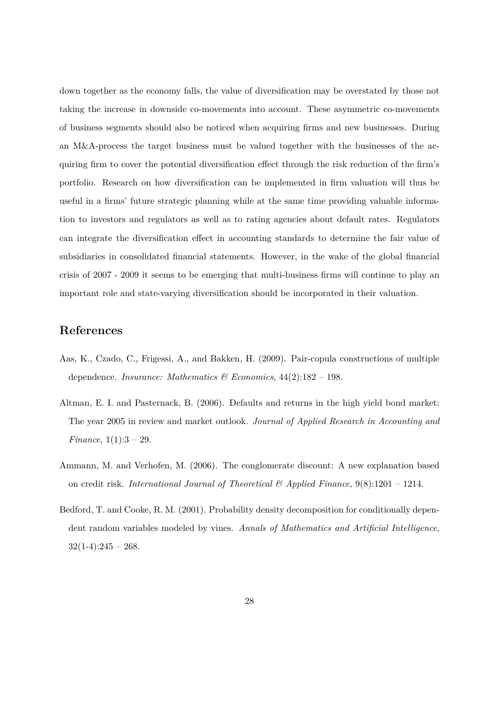down together as the economy falls, the value of diversification may be overstated by those not taking the increase in downside co-movements into account. These asymmetric co-movements of business segments should also be noticed when acquiring firms and new businesses. During an M&A-process the target business must be valued together with the businesses of the acquiring firm to cover the potential diversification effect through the risk reduction of the firm's portfolio. Research on how diversification can be implemented in firm valuation will thus be useful in a firms' future strategic planning while at the same time providing valuable information to investors and regulators as well as to rating agencies about default rates. Regulators can integrate the diversification effect in accounting standards to determine the fair value of subsidiaries in consolidated financial statements. However, in the wake of the global financial crisis of 2007 - 2009 it seems to be emerging that multi-business firms will continue to play an important role and state-varying diversification should be incorporated in their valuation.

## **References**

- Aas, K., Czado, C., Frigessi, A., and Bakken, H. (2009). Pair-copula constructions of multiple dependence. *Insurance: Mathematics & Economics*, 44(2):182 – 198.
- Altman, E. I. and Pasternack, B. (2006). Defaults and returns in the high yield bond market: The year 2005 in review and market outlook. *Journal of Applied Research in Accounting and Finance*, 1(1):3 – 29.
- Ammann, M. and Verhofen, M. (2006). The conglomerate discount: A new explanation based on credit risk. *International Journal of Theoretical & Applied Finance*, 9(8):1201 – 1214.
- Bedford, T. and Cooke, R. M. (2001). Probability density decomposition for conditionally dependent random variables modeled by vines. *Annals of Mathematics and Artificial Intelligence*,  $32(1-4):245 - 268.$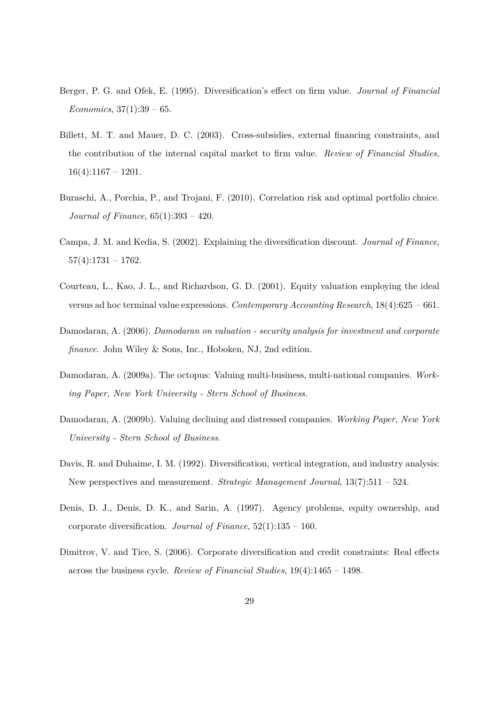- Berger, P. G. and Ofek, E. (1995). Diversification's effect on firm value. *Journal of Financial Economics*, 37(1):39 – 65.
- Billett, M. T. and Mauer, D. C. (2003). Cross-subsidies, external financing constraints, and the contribution of the internal capital market to firm value. *Review of Financial Studies*,  $16(4):1167 - 1201.$
- Buraschi, A., Porchia, P., and Trojani, F. (2010). Correlation risk and optimal portfolio choice. *Journal of Finance*, 65(1):393 – 420.
- Campa, J. M. and Kedia, S. (2002). Explaining the diversification discount. *Journal of Finance*,  $57(4):1731 - 1762.$
- Courteau, L., Kao, J. L., and Richardson, G. D. (2001). Equity valuation employing the ideal versus ad hoc terminal value expressions. *Contemporary Accounting Research*, 18(4):625 – 661.
- Damodaran, A. (2006). *Damodaran on valuation security analysis for investment and corporate finance*. John Wiley & Sons, Inc., Hoboken, NJ, 2nd edition.
- Damodaran, A. (2009a). The octopus: Valuing multi-business, multi-national companies. *Working Paper, New York University - Stern School of Business*.
- Damodaran, A. (2009b). Valuing declining and distressed companies. *Working Paper, New York University - Stern School of Business*.
- Davis, R. and Duhaime, I. M. (1992). Diversification, vertical integration, and industry analysis: New perspectives and measurement. *Strategic Management Journal*, 13(7):511 – 524.
- Denis, D. J., Denis, D. K., and Sarin, A. (1997). Agency problems, equity ownership, and corporate diversification. *Journal of Finance*, 52(1):135 – 160.
- Dimitrov, V. and Tice, S. (2006). Corporate diversification and credit constraints: Real effects across the business cycle. *Review of Financial Studies*, 19(4):1465 – 1498.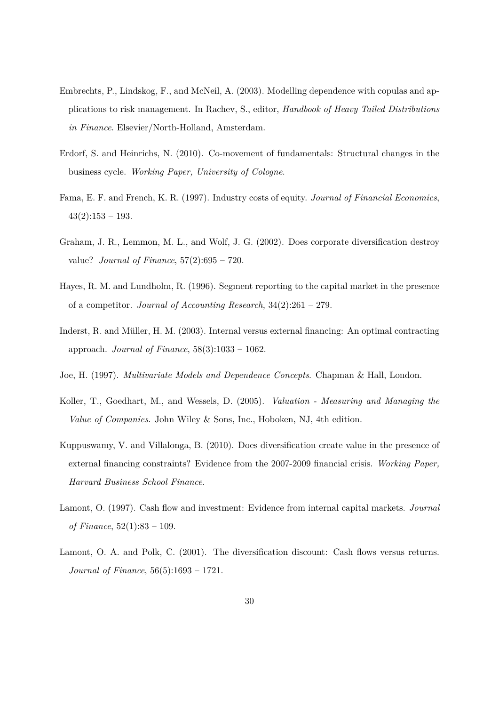- Embrechts, P., Lindskog, F., and McNeil, A. (2003). Modelling dependence with copulas and applications to risk management. In Rachev, S., editor, *Handbook of Heavy Tailed Distributions in Finance*. Elsevier/North-Holland, Amsterdam.
- Erdorf, S. and Heinrichs, N. (2010). Co-movement of fundamentals: Structural changes in the business cycle. *Working Paper, University of Cologne*.
- Fama, E. F. and French, K. R. (1997). Industry costs of equity. *Journal of Financial Economics*,  $43(2):153 - 193.$
- Graham, J. R., Lemmon, M. L., and Wolf, J. G. (2002). Does corporate diversification destroy value? *Journal of Finance*, 57(2):695 – 720.
- Hayes, R. M. and Lundholm, R. (1996). Segment reporting to the capital market in the presence of a competitor. *Journal of Accounting Research*, 34(2):261 – 279.
- Inderst, R. and Müller, H. M. (2003). Internal versus external financing: An optimal contracting approach. *Journal of Finance*, 58(3):1033 – 1062.
- Joe, H. (1997). *Multivariate Models and Dependence Concepts*. Chapman & Hall, London.
- Koller, T., Goedhart, M., and Wessels, D. (2005). *Valuation Measuring and Managing the Value of Companies*. John Wiley & Sons, Inc., Hoboken, NJ, 4th edition.
- Kuppuswamy, V. and Villalonga, B. (2010). Does diversification create value in the presence of external financing constraints? Evidence from the 2007-2009 financial crisis. *Working Paper, Harvard Business School Finance*.
- Lamont, O. (1997). Cash flow and investment: Evidence from internal capital markets. *Journal of Finance*, 52(1):83 – 109.
- Lamont, O. A. and Polk, C. (2001). The diversification discount: Cash flows versus returns. *Journal of Finance*, 56(5):1693 – 1721.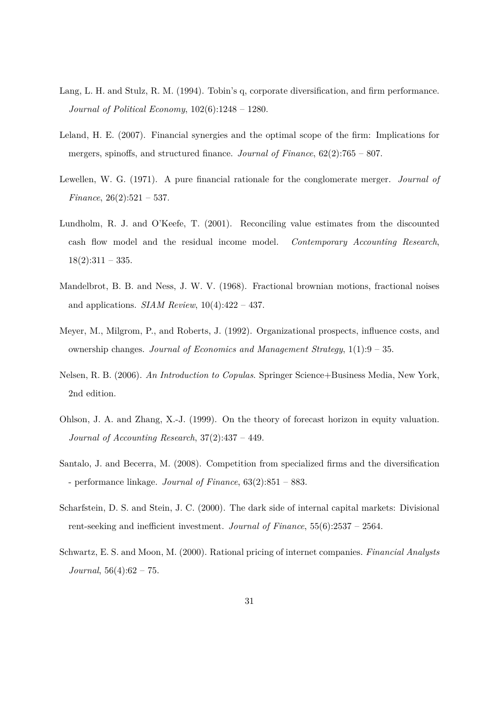- Lang, L. H. and Stulz, R. M. (1994). Tobin's q, corporate diversification, and firm performance. *Journal of Political Economy*, 102(6):1248 – 1280.
- Leland, H. E. (2007). Financial synergies and the optimal scope of the firm: Implications for mergers, spinoffs, and structured finance. *Journal of Finance*, 62(2):765 – 807.
- Lewellen, W. G. (1971). A pure financial rationale for the conglomerate merger. *Journal of Finance*, 26(2):521 – 537.
- Lundholm, R. J. and O'Keefe, T. (2001). Reconciling value estimates from the discounted cash flow model and the residual income model. *Contemporary Accounting Research*,  $18(2):311 - 335.$
- Mandelbrot, B. B. and Ness, J. W. V. (1968). Fractional brownian motions, fractional noises and applications. *SIAM Review*, 10(4):422 – 437.
- Meyer, M., Milgrom, P., and Roberts, J. (1992). Organizational prospects, influence costs, and ownership changes. *Journal of Economics and Management Strategy*, 1(1):9 – 35.
- Nelsen, R. B. (2006). *An Introduction to Copulas*. Springer Science+Business Media, New York, 2nd edition.
- Ohlson, J. A. and Zhang, X.-J. (1999). On the theory of forecast horizon in equity valuation. *Journal of Accounting Research*, 37(2):437 – 449.
- Santalo, J. and Becerra, M. (2008). Competition from specialized firms and the diversification - performance linkage. *Journal of Finance*, 63(2):851 – 883.
- Scharfstein, D. S. and Stein, J. C. (2000). The dark side of internal capital markets: Divisional rent-seeking and inefficient investment. *Journal of Finance*, 55(6):2537 – 2564.
- Schwartz, E. S. and Moon, M. (2000). Rational pricing of internet companies. *Financial Analysts Journal*, 56(4):62 – 75.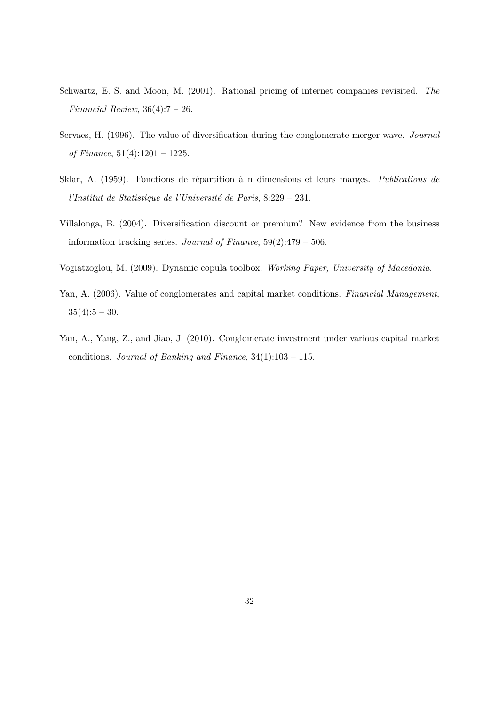- Schwartz, E. S. and Moon, M. (2001). Rational pricing of internet companies revisited. *The Financial Review*, 36(4):7 – 26.
- Servaes, H. (1996). The value of diversification during the conglomerate merger wave. *Journal of Finance*, 51(4):1201 – 1225.
- Sklar, A. (1959). Fonctions de répartition à n dimensions et leurs marges. *Publications de l'Institut de Statistique de l'Université de Paris*, 8:229 – 231.
- Villalonga, B. (2004). Diversification discount or premium? New evidence from the business information tracking series. *Journal of Finance*, 59(2):479 – 506.
- Vogiatzoglou, M. (2009). Dynamic copula toolbox. *Working Paper, University of Macedonia*.
- Yan, A. (2006). Value of conglomerates and capital market conditions. *Financial Management*,  $35(4):5 - 30.$
- Yan, A., Yang, Z., and Jiao, J. (2010). Conglomerate investment under various capital market conditions. *Journal of Banking and Finance*, 34(1):103 – 115.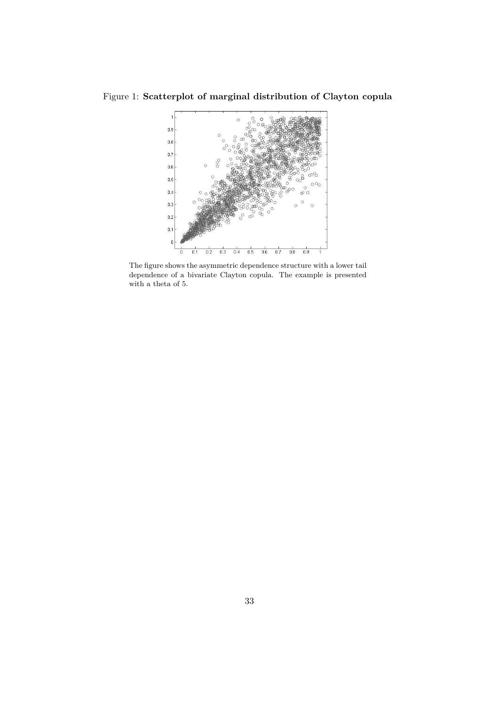Figure 1: **Scatterplot of marginal distribution of Clayton copula**



The figure shows the asymmetric dependence structure with a lower tail dependence of a bivariate Clayton copula. The example is presented with a theta of 5.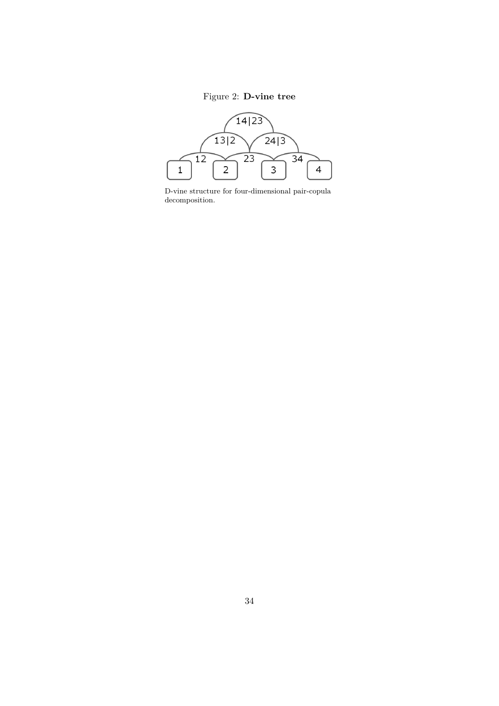## Figure 2: **D-vine tree**



D-vine structure for four-dimensional pair-copula decomposition.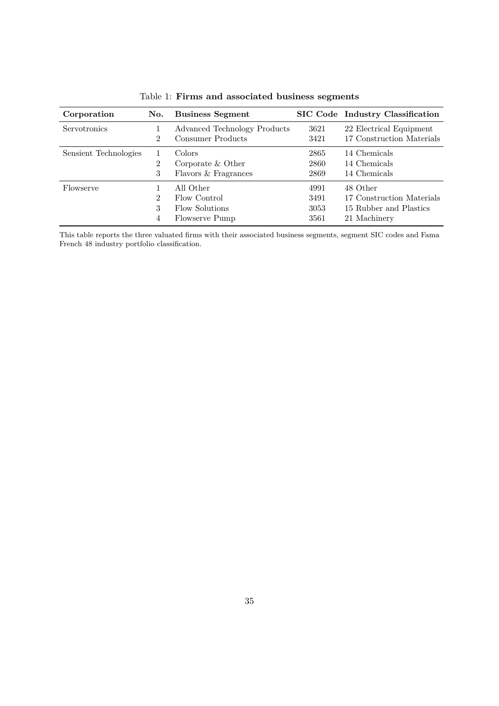| Corporation<br>No.    |                | <b>Business Segment</b>      |      | SIC Code Industry Classification |  |  |
|-----------------------|----------------|------------------------------|------|----------------------------------|--|--|
| Servotronics          |                | Advanced Technology Products | 3621 | 22 Electrical Equipment          |  |  |
|                       | $\mathfrak{D}$ | Consumer Products            | 3421 | 17 Construction Materials        |  |  |
| Sensient Technologies |                | Colors                       | 2865 | 14 Chemicals                     |  |  |
|                       | $\overline{2}$ | Corporate $&$ Other          | 2860 | 14 Chemicals                     |  |  |
|                       | 3              | Flavors & Fragrances         | 2869 | 14 Chemicals                     |  |  |
| Flowserve             |                | All Other                    | 4991 | 48 Other                         |  |  |
|                       | $\mathfrak{D}$ | Flow Control                 | 3491 | 17 Construction Materials        |  |  |
|                       | 3              | Flow Solutions               | 3053 | 15 Rubber and Plastics           |  |  |
|                       | 4              | Flowserve Pump               | 3561 | 21 Machinery                     |  |  |

Table 1: **Firms and associated business segments**

This table reports the three valuated firms with their associated business segments, segment SIC codes and Fama French 48 industry portfolio classification.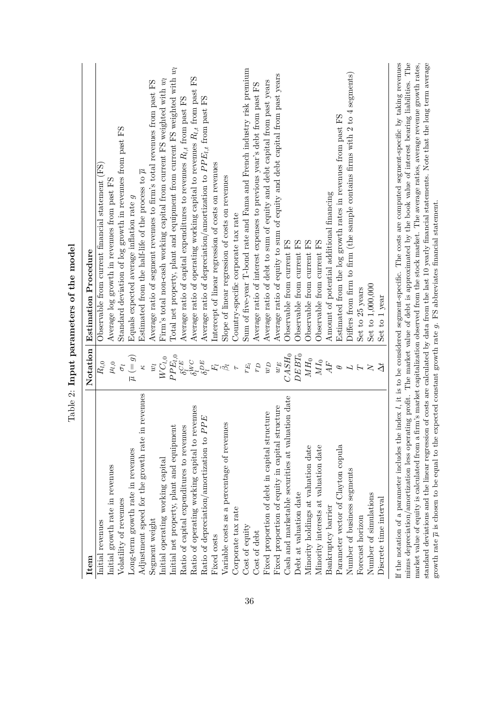| Item                                                                                                                              | Notation                             | <b>Estimation Procedure</b>                                                                                                                                                                                                                                                                                                                                                                                                                                                                                                                                                                                                                        |
|-----------------------------------------------------------------------------------------------------------------------------------|--------------------------------------|----------------------------------------------------------------------------------------------------------------------------------------------------------------------------------------------------------------------------------------------------------------------------------------------------------------------------------------------------------------------------------------------------------------------------------------------------------------------------------------------------------------------------------------------------------------------------------------------------------------------------------------------------|
| Initial revenues                                                                                                                  | $R_{l,0}$                            | Observable from current financial statement (FS)                                                                                                                                                                                                                                                                                                                                                                                                                                                                                                                                                                                                   |
| Initial growth rate in revenues                                                                                                   | $\mu_{l,0}$                          | Average log growth in revenues from past FS                                                                                                                                                                                                                                                                                                                                                                                                                                                                                                                                                                                                        |
| Volatility of revenues                                                                                                            | $\overline{\sigma}$                  | Standard deviation of log growth in revenues from past FS                                                                                                                                                                                                                                                                                                                                                                                                                                                                                                                                                                                          |
| Long-term growth rate in revenues                                                                                                 | $\overline{\mu}$ $(=\boldsymbol{g})$ | Equals expected average inflation rate $g$                                                                                                                                                                                                                                                                                                                                                                                                                                                                                                                                                                                                         |
| n revenues<br>Adjustment speed for the growth rate i                                                                              | Ż                                    | Estimated from the half-life of the process to $\overline{\mu}$                                                                                                                                                                                                                                                                                                                                                                                                                                                                                                                                                                                    |
| Segment weight                                                                                                                    | $\tilde{w}$                          | Average ratio of segment revenues to firm's total revenues from past FS                                                                                                                                                                                                                                                                                                                                                                                                                                                                                                                                                                            |
| Initial operating working capital                                                                                                 | $WC_{l,0}$                           | Firm's total non-cash working capital from current FS weighted with $w_l$                                                                                                                                                                                                                                                                                                                                                                                                                                                                                                                                                                          |
| Initial net property, plant and equipment                                                                                         | $P{\cal P}E_{l,0}$                   | Total net property, plant and equipment from current FS weighted with $w_l$                                                                                                                                                                                                                                                                                                                                                                                                                                                                                                                                                                        |
| Ratio of capital expenditures to revenues                                                                                         | $\delta^{CE}$                        | Average ratio of capital expenditures to revenues $R_{l,t}$ from past FS                                                                                                                                                                                                                                                                                                                                                                                                                                                                                                                                                                           |
| Ratio of operating working capital to revenues                                                                                    | $\delta^{iVC}_{}$                    | Average ratio of operating working capital to revenues $R_{l,t}$ from past FS                                                                                                                                                                                                                                                                                                                                                                                                                                                                                                                                                                      |
| Ratio of depreciation/amortization to PPE                                                                                         | $\delta_l^{DE} \tilde{F_l}$          | Average ratio of depreciation/amortization to $PPE_{l,t}$ from past FS                                                                                                                                                                                                                                                                                                                                                                                                                                                                                                                                                                             |
| Fixed costs                                                                                                                       |                                      | Intercept of linear regression of costs on revenues                                                                                                                                                                                                                                                                                                                                                                                                                                                                                                                                                                                                |
| Variable costs as a percentage of revenues                                                                                        |                                      | Slope of linear regression of costs on revenues                                                                                                                                                                                                                                                                                                                                                                                                                                                                                                                                                                                                    |
| Corporate tax rate                                                                                                                | $\overline{r}$                       | Country-specific corporate tax rate                                                                                                                                                                                                                                                                                                                                                                                                                                                                                                                                                                                                                |
| Cost of equity                                                                                                                    | $r_{E_l}$                            | Sum of five-year T-bond rate and Fama and French industry risk premium                                                                                                                                                                                                                                                                                                                                                                                                                                                                                                                                                                             |
| Cost of debt                                                                                                                      | $\sigma_{J}$                         | Average ratio of interest expenses to previous year's debt from past FS                                                                                                                                                                                                                                                                                                                                                                                                                                                                                                                                                                            |
| Fixed proportion of debt in capital structure                                                                                     | $\sigma$                             | Average ratio of debt to sum of equity and debt capital from past years                                                                                                                                                                                                                                                                                                                                                                                                                                                                                                                                                                            |
| Fixed proportion of equity in capital structure                                                                                   | $w_{E}$                              | Average ratio of equity to sum of equity and debt capital from past years                                                                                                                                                                                                                                                                                                                                                                                                                                                                                                                                                                          |
| Cash and marketable securities at valuation date                                                                                  | $CASH_0$                             | Observable from current FS                                                                                                                                                                                                                                                                                                                                                                                                                                                                                                                                                                                                                         |
| Debt at valuation date                                                                                                            | $DEBT_0$                             | Observable from current FS                                                                                                                                                                                                                                                                                                                                                                                                                                                                                                                                                                                                                         |
| Minority holdings at valuation date                                                                                               | $\mathcal{M}H_0$                     | Observable from current FS                                                                                                                                                                                                                                                                                                                                                                                                                                                                                                                                                                                                                         |
| Minority interests at valuation date                                                                                              | $\overline{M}I_0$                    | Observable from current FS                                                                                                                                                                                                                                                                                                                                                                                                                                                                                                                                                                                                                         |
| Bankruptcy barrier                                                                                                                | AF                                   | Amount of potential additional financing                                                                                                                                                                                                                                                                                                                                                                                                                                                                                                                                                                                                           |
| Parameter vector of Clayton copula                                                                                                | $\theta$                             | Estimated from the log growth rates in revenues from past FS                                                                                                                                                                                                                                                                                                                                                                                                                                                                                                                                                                                       |
| Number of business segments                                                                                                       |                                      | Differs from firm to firm (the sample contains firms with 2 to 4 segments)                                                                                                                                                                                                                                                                                                                                                                                                                                                                                                                                                                         |
| Forecast horizon                                                                                                                  |                                      | Set to 25 years                                                                                                                                                                                                                                                                                                                                                                                                                                                                                                                                                                                                                                    |
| Number of simulations                                                                                                             | $\overline{\mathsf{X}}$              | Set to 1,000,000                                                                                                                                                                                                                                                                                                                                                                                                                                                                                                                                                                                                                                   |
| Discrete time interval                                                                                                            | $\Delta t$                           | Set to 1 year                                                                                                                                                                                                                                                                                                                                                                                                                                                                                                                                                                                                                                      |
| growth rate $\overline{\mu}$ is chosen to be equal to the expected constant growth rate $g$ . FS abbreviates financial statement. |                                      | If the notation of a parameter includes the index $l$ , it is to be considered segment-specific. The costs are computed segment-specific by taking revenues<br>minus depreciation/amortization less operating profit. The market value of debt is approximated by the book value of interest bearing liabilities. The<br>standard deviations and the linear regression of costs are calculated by data from the last 10 yearly financial statements. Note that the long term average<br>market value of equity is calculated from a firm's market capitalization observed from the stock market. The average ratios, average revenue growth rates, |

growth rate *µ* is chosen to be equal to the expected constant growth rate *g*. FS abbreviates financial statement.

Table 2: Input parameters of the model Table 2: **Input parameters of the model**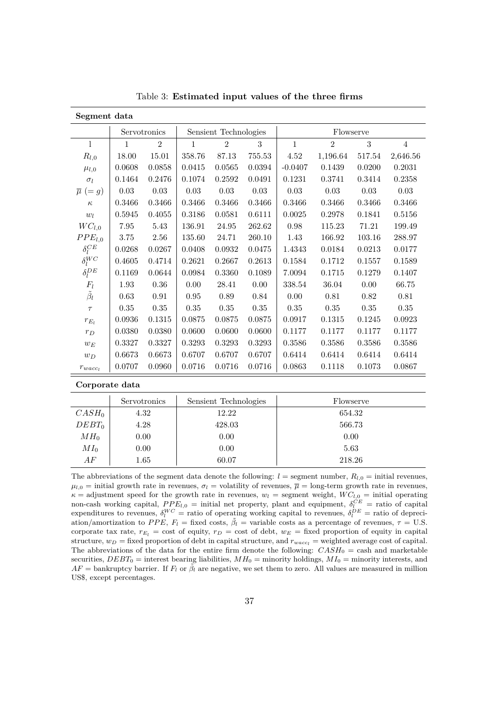| Segment data           |              |                |                       |                |          |             |                |          |                |
|------------------------|--------------|----------------|-----------------------|----------------|----------|-------------|----------------|----------|----------------|
|                        |              | Servotronics   | Sensient Technologies |                |          | Flowserve   |                |          |                |
| $\mathbf{l}$           | $\mathbf{1}$ | $\overline{2}$ | $\mathbf{1}$          | $\overline{2}$ | 3        | $\mathbf 1$ | $\overline{2}$ | 3        | $\overline{4}$ |
| $R_{l,0}$              | 18.00        | 15.01          | 358.76                | 87.13          | 755.53   | 4.52        | 1,196.64       | 517.54   | 2,646.56       |
| $\mu_{l,0}$            | 0.0608       | 0.0858         | 0.0415                | 0.0565         | 0.0394   | $-0.0407$   | 0.1439         | 0.0200   | 0.2031         |
| $\sigma_l$             | 0.1464       | 0.2476         | 0.1074                | 0.2592         | 0.0491   | 0.1231      | 0.3741         | 0.3414   | 0.2358         |
| $\overline{\mu}$ (= g) | 0.03         | $0.03\,$       | $0.03\,$              | $0.03\,$       | $0.03\,$ | 0.03        | $0.03\,$       | $0.03\,$ | 0.03           |
| $\kappa$               | 0.3466       | 0.3466         | 0.3466                | 0.3466         | 0.3466   | 0.3466      | 0.3466         | 0.3466   | 0.3466         |
| $w_l$                  | 0.5945       | 0.4055         | 0.3186                | 0.0581         | 0.6111   | 0.0025      | 0.2978         | 0.1841   | 0.5156         |
| $WC_{l,0}$             | 7.95         | 5.43           | 136.91                | 24.95          | 262.62   | 0.98        | 115.23         | 71.21    | 199.49         |
| PPE <sub>l,0</sub>     | 3.75         | 2.56           | 135.60                | 24.71          | 260.10   | 1.43        | 166.92         | 103.16   | 288.97         |
| $\delta_l^{CE}$        | 0.0268       | 0.0267         | 0.0408                | 0.0932         | 0.0475   | 1.4343      | 0.0184         | 0.0213   | 0.0177         |
| $\delta_l^{WC}$        | 0.4605       | 0.4714         | 0.2621                | 0.2667         | 0.2613   | 0.1584      | 0.1712         | 0.1557   | 0.1589         |
| $\delta_l^{DE}$        | 0.1169       | 0.0644         | 0.0984                | 0.3360         | 0.1089   | 7.0094      | 0.1715         | 0.1279   | 0.1407         |
| $F_l$                  | 1.93         | $0.36\,$       | 0.00                  | 28.41          | $0.00\,$ | 338.54      | 36.04          | 0.00     | 66.75          |
| $\tilde{\beta}_l$      | 0.63         | $0.91\,$       | 0.95                  | 0.89           | $0.84\,$ | 0.00        | 0.81           | 0.82     | 0.81           |
| $\tau$                 | 0.35         | 0.35           | 0.35                  | 0.35           | $0.35\,$ | 0.35        | $0.35\,$       | 0.35     | 0.35           |
| $r_{E_l}$              | 0.0936       | 0.1315         | 0.0875                | 0.0875         | 0.0875   | 0.0917      | 0.1315         | 0.1245   | 0.0923         |
| $r_D$                  | 0.0380       | 0.0380         | 0.0600                | 0.0600         | 0.0600   | 0.1177      | 0.1177         | 0.1177   | 0.1177         |
| $w_E$                  | 0.3327       | 0.3327         | 0.3293                | 0.3293         | 0.3293   | 0.3586      | 0.3586         | 0.3586   | 0.3586         |
| $w_D$                  | 0.6673       | 0.6673         | 0.6707                | 0.6707         | 0.6707   | 0.6414      | 0.6414         | 0.6414   | 0.6414         |
| $r_{wacc_l}$           | 0.0707       | 0.0960         | 0.0716                | 0.0716         | 0.0716   | 0.0863      | 0.1118         | 0.1073   | 0.0867         |

Table 3: **Estimated input values of the three firms**

**Corporate data**

|                 | Servotronics | Sensient Technologies | Flowserve |
|-----------------|--------------|-----------------------|-----------|
| $CASH_0$        | 4.32         | 12.22                 | 654.32    |
| $DEBT_0$        | 4.28         | 428.03                | 566.73    |
| MH <sub>0</sub> | 0.00         | 0.00                  | 0.00      |
| $MI_0$          | 0.00         | 0.00                  | 5.63      |
| AF              | 1.65         | 60.07                 | 218.26    |

The abbreviations of the segment data denote the following:  $l =$  segment number,  $R_{l,0} =$  initial revenues,  $\mu_{l,0}$  = initial growth rate in revenues,  $\sigma_l$  = volatility of revenues,  $\overline{\mu}$  = long-term growth rate in revenues,  $\kappa$  = adjustment speed for the growth rate in revenues,  $w_l$  = segment weight,  $WC_{l,0}$  = initial operating non-cash working capital,  $PPE_{l,0}$  = initial net property, plant and equipment,  $\delta_l^{CE}$  = ratio of capital expenditures to revenues,  $\delta_l^{WC}$  = ratio of operating working capital to revenues,  $\delta_l^{DE}$  = ratio of depreciation/amortization to *PPE*,  $F_l$  = fixed costs,  $\tilde{\beta}_l$  = variable costs as a percentage of revenues,  $\tau$  = U.S. corporate tax rate,  $r_{E_l}$  = cost of equity,  $r_D$  = cost of debt,  $w_E$  = fixed proportion of equity in capital structure,  $w_D$  = fixed proportion of debt in capital structure, and  $r_{wacc_l}$  = weighted average cost of capital. The abbreviations of the data for the entire firm denote the following: *CASH*<sub>0</sub> = cash and marketable securities,  $DEBT_0$  = interest bearing liabilities,  $MH_0$  = minority holdings,  $MI_0$  = minority interests, and  $AF =$  bankruptcy barrier. If  $F_l$  or  $\tilde{\beta}_l$  are negative, we set them to zero. All values are measured in million US\$, except percentages.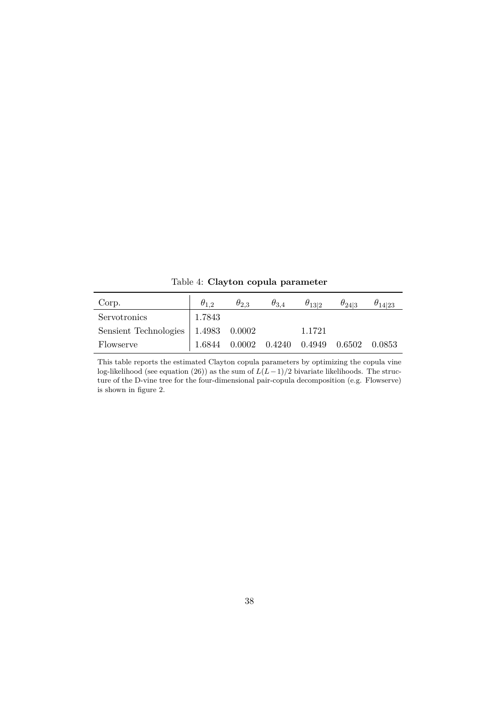Table 4: **Clayton copula parameter**

| Corp.                                 | $\theta$ <sup>1</sup> 2 | $\theta_{2,3}$ | $\theta_{3,4}$             | $\theta_{13 2}$ | $\theta_{24 3}$ | $\theta_{14 23}$ |
|---------------------------------------|-------------------------|----------------|----------------------------|-----------------|-----------------|------------------|
| Servotronics                          | 1.7843                  |                |                            |                 |                 |                  |
| Sensient Technologies   1.4983 0.0002 |                         |                |                            | 1.1721          |                 |                  |
| Flowserve                             | 1.6844                  |                | $0.0002$ $0.4240$ $0.4949$ |                 | 0.6502          | 0.0853           |

This table reports the estimated Clayton copula parameters by optimizing the copula vine log-likelihood (see equation (26)) as the sum of  $L(L-1)/2$  bivariate likelihoods. The structure of the D-vine tree for the four-dimensional pair-copula decomposition (e.g. Flowserve) is shown in figure 2.